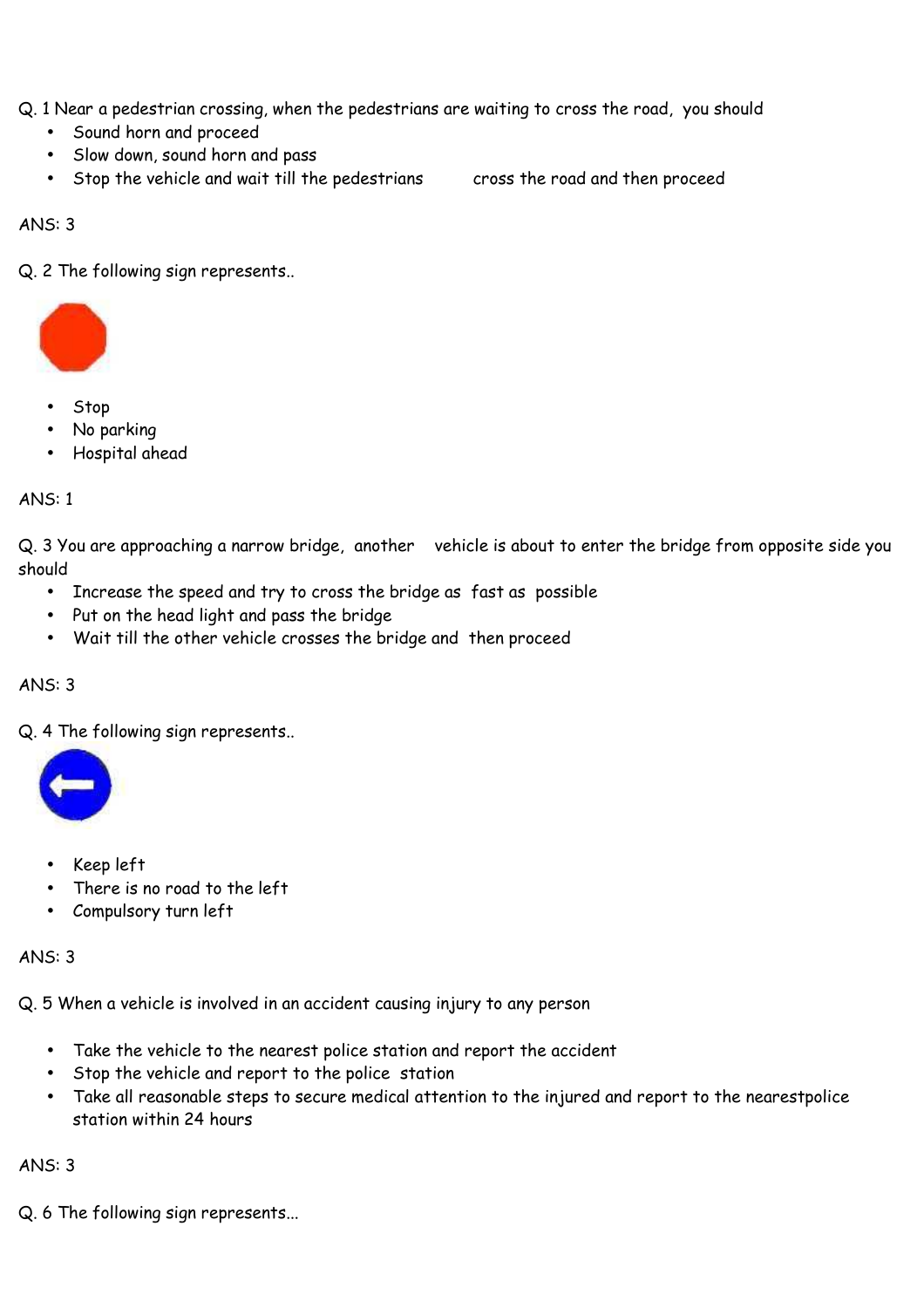Q. 1 Near a pedestrian crossing, when the pedestrians are waiting to cross the road, you should

- Sound horn and proceed
- Slow down, sound horn and pass
- Stop the vehicle and wait till the pedestrians cross the road and then proceed

ANS: 3

Q. 2 The following sign represents..



- Stop
- No parking
- Hospital ahead

# ANS: 1

Q. 3 You are approaching a narrow bridge, another vehicle is about to enter the bridge from opposite side you should

- Increase the speed and try to cross the bridge as fast as possible
- Put on the head light and pass the bridge
- Wait till the other vehicle crosses the bridge and then proceed

# ANS: 3

Q. 4 The following sign represents..



- Keep left
- There is no road to the left
- Compulsory turn left

# ANS: 3

Q. 5 When a vehicle is involved in an accident causing injury to any person

- Take the vehicle to the nearest police station and report the accident
- Stop the vehicle and report to the police station
- Take all reasonable steps to secure medical attention to the injured and report to the nearestpolice station within 24 hours

# ANS: 3

Q. 6 The following sign represents...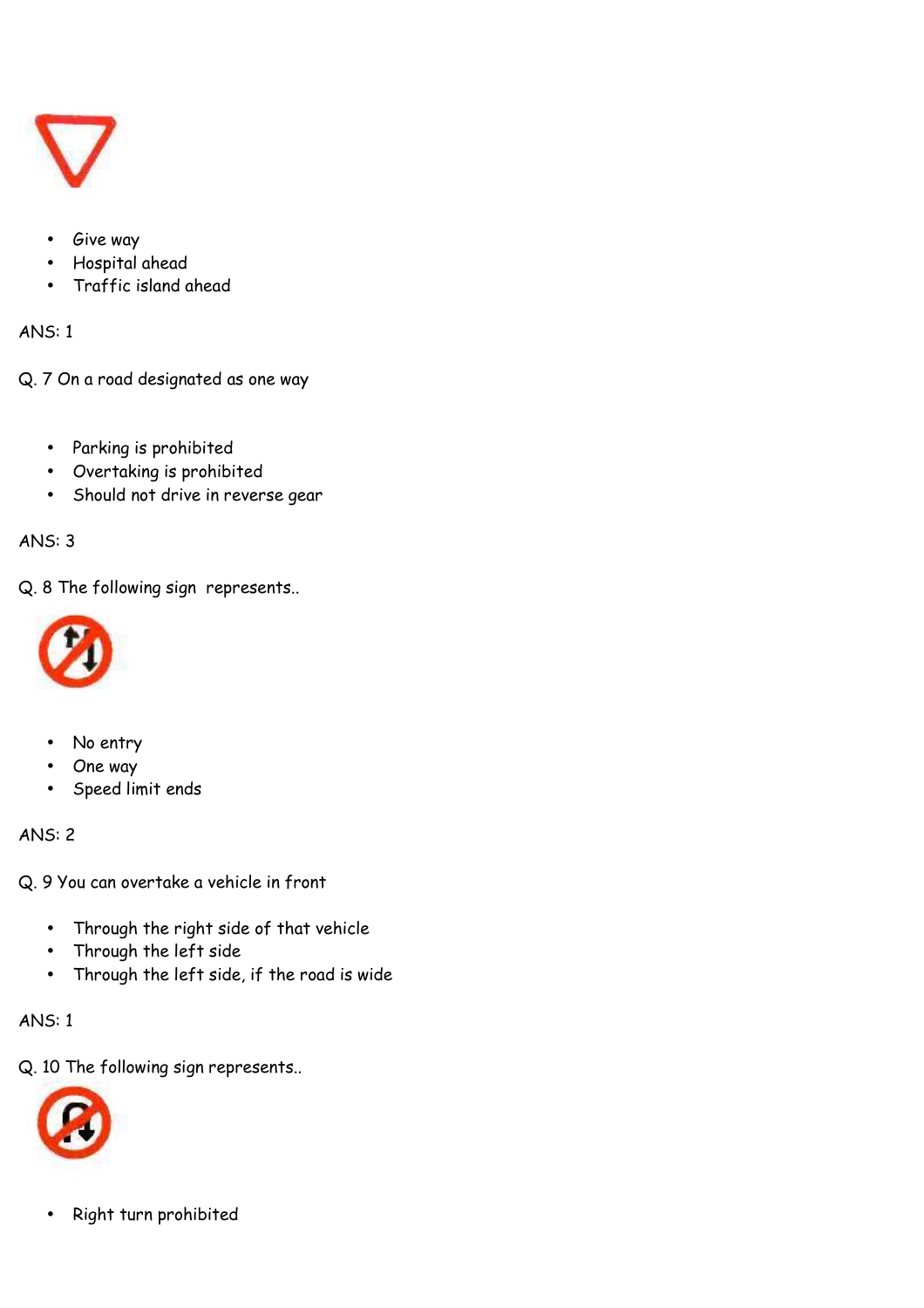

- Give way
- Hospital ahead
- Traffic island ahead

Q. 7 On a road designated as one way

- Parking is prohibited
- Overtaking is prohibited
- Should not drive in reverse gear

# ANS: 3

Q. 8 The following sign represents..



- No entry
- One way
- Speed limit ends

# ANS: 2

Q. 9 You can overtake a vehicle in front

- Through the right side of that vehicle
- Through the left side
- Through the left side, if the road is wide

# ANS: 1

Q. 10 The following sign represents..



• Right turn prohibited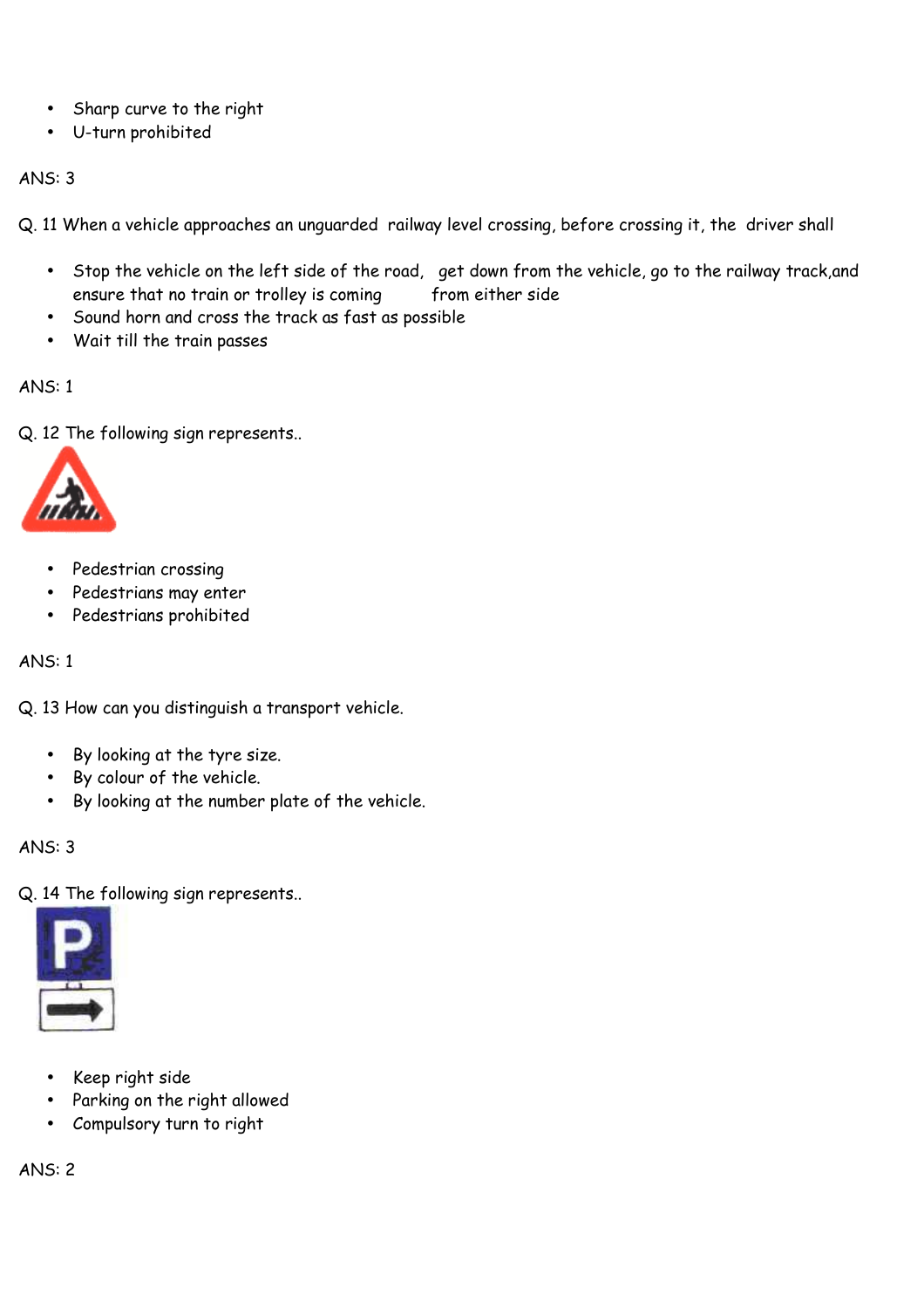- Sharp curve to the right
- U-turn prohibited

Q. 11 When a vehicle approaches an unguarded railway level crossing, before crossing it, the driver shall

- Stop the vehicle on the left side of the road, get down from the vehicle, go to the railway track,and ensure that no train or trolley is coming from either side
- Sound horn and cross the track as fast as possible
- Wait till the train passes

ANS: 1

Q. 12 The following sign represents..



- Pedestrian crossing
- Pedestrians may enter
- Pedestrians prohibited

### ANS: 1

Q. 13 How can you distinguish a transport vehicle.

- By looking at the tyre size.
- By colour of the vehicle.
- By looking at the number plate of the vehicle.

ANS: 3

Q. 14 The following sign represents..



- Keep right side
- Parking on the right allowed
- Compulsory turn to right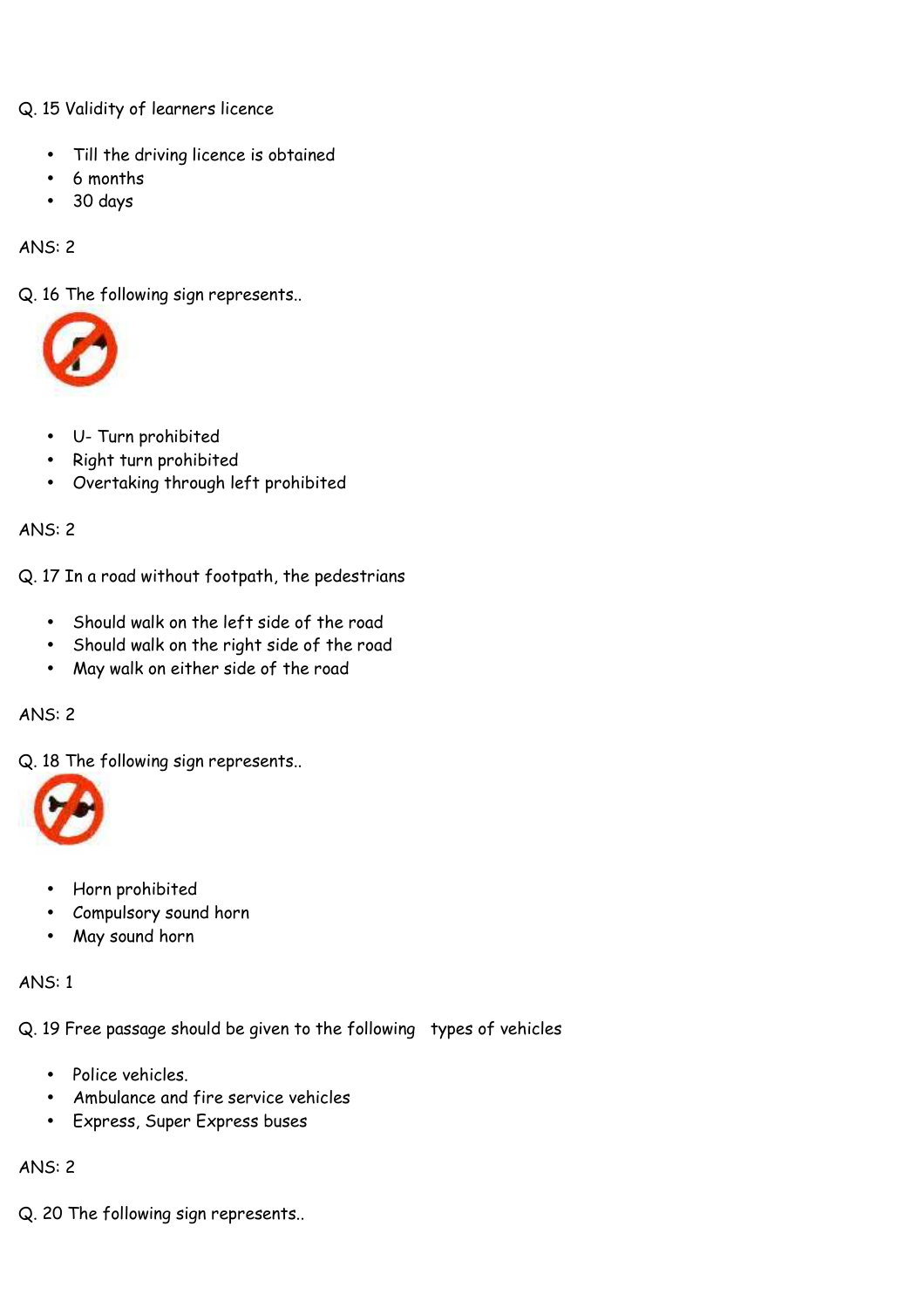Q. 15 Validity of learners licence

- Till the driving licence is obtained
- 6 months
- 30 days

ANS: 2

Q. 16 The following sign represents..



- U- Turn prohibited
- Right turn prohibited
- Overtaking through left prohibited

ANS: 2

Q. 17 In a road without footpath, the pedestrians

- Should walk on the left side of the road
- Should walk on the right side of the road
- May walk on either side of the road

# ANS: 2

Q. 18 The following sign represents..



- Horn prohibited
- Compulsory sound horn
- May sound horn

ANS: 1

Q. 19 Free passage should be given to the following types of vehicles

- Police vehicles.
- Ambulance and fire service vehicles
- Express, Super Express buses

ANS: 2

Q. 20 The following sign represents..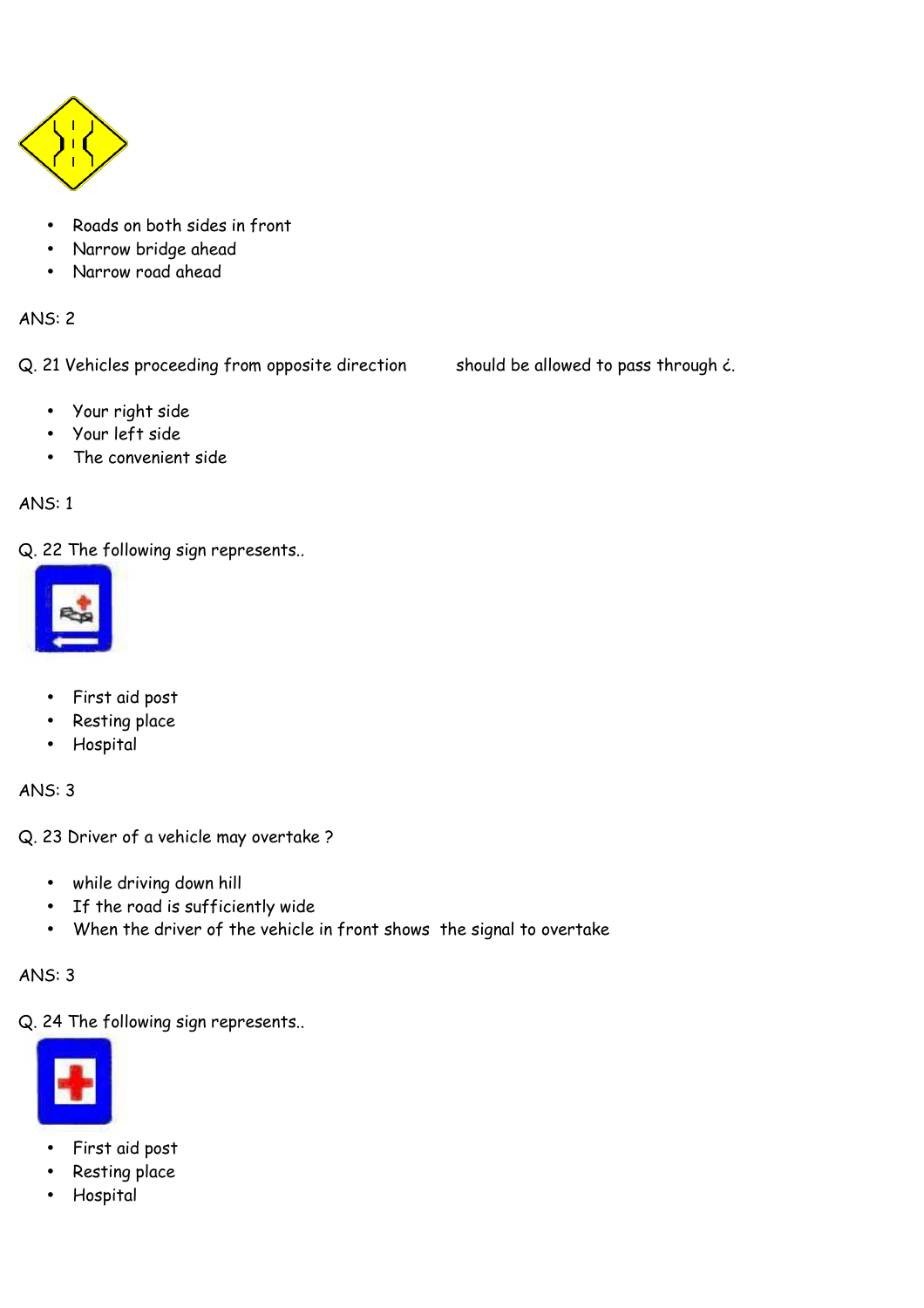

- Roads on both sides in front
- Narrow bridge ahead
- Narrow road ahead

Q. 21 Vehicles proceeding from opposite direction should be allowed to pass through  $\epsilon$ .

- Your right side
- Your left side
- The convenient side

# ANS: 1

Q. 22 The following sign represents..



- First aid post
- Resting place
- Hospital

ANS: 3

Q. 23 Driver of a vehicle may overtake ?

- while driving down hill
- If the road is sufficiently wide
- When the driver of the vehicle in front shows the signal to overtake

# ANS: 3

Q. 24 The following sign represents..



- First aid post
- Resting place
- Hospital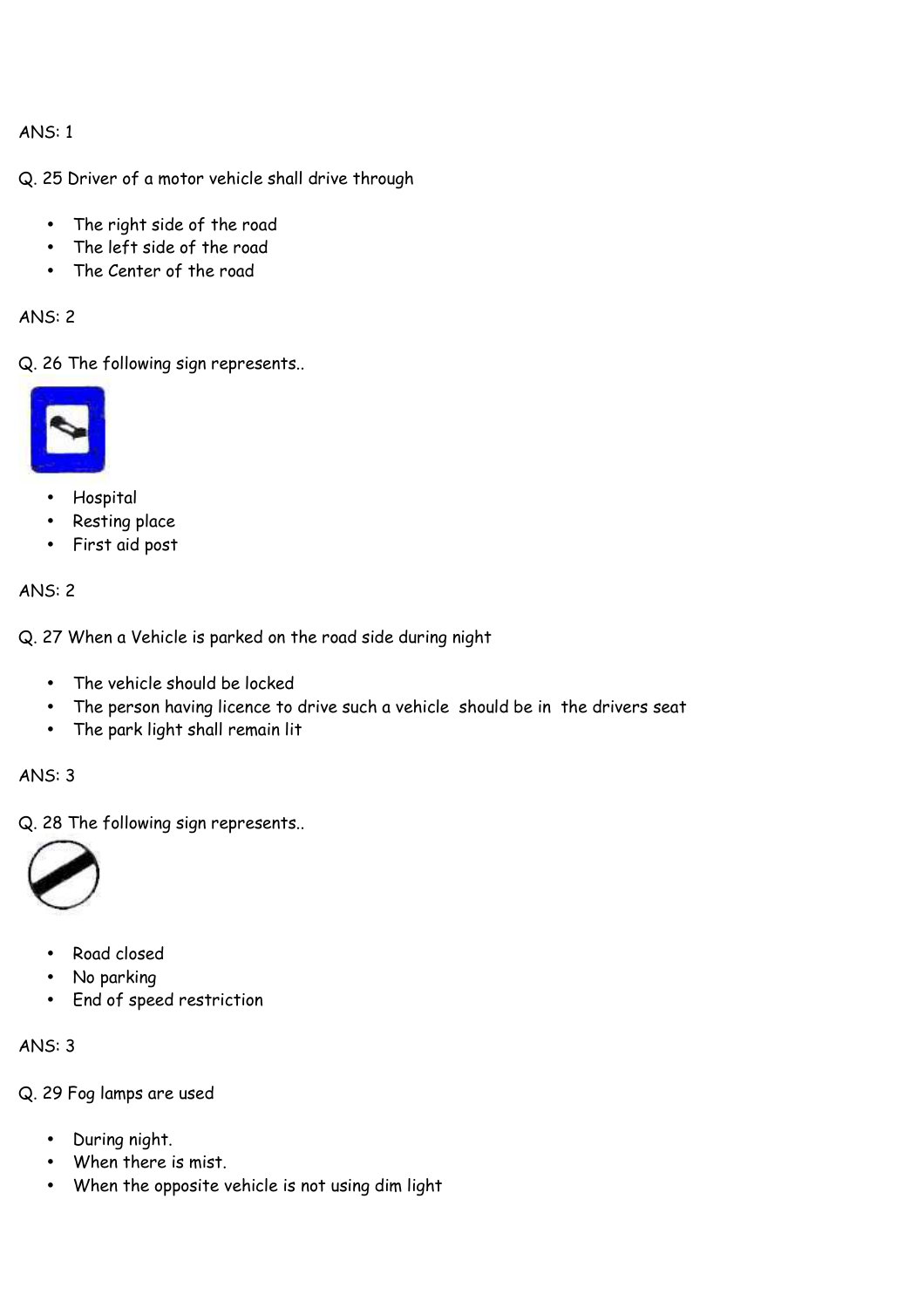Q. 25 Driver of a motor vehicle shall drive through

- The right side of the road
- The left side of the road
- The Center of the road

ANS: 2

Q. 26 The following sign represents..



- Hospital
- Resting place
- First aid post

# ANS: 2

Q. 27 When a Vehicle is parked on the road side during night

- The vehicle should be locked
- The person having licence to drive such a vehicle should be in the drivers seat
- The park light shall remain lit

# ANS: 3

Q. 28 The following sign represents..



- Road closed
- No parking
- End of speed restriction

# ANS: 3

Q. 29 Fog lamps are used

- During night.
- When there is mist.
- When the opposite vehicle is not using dim light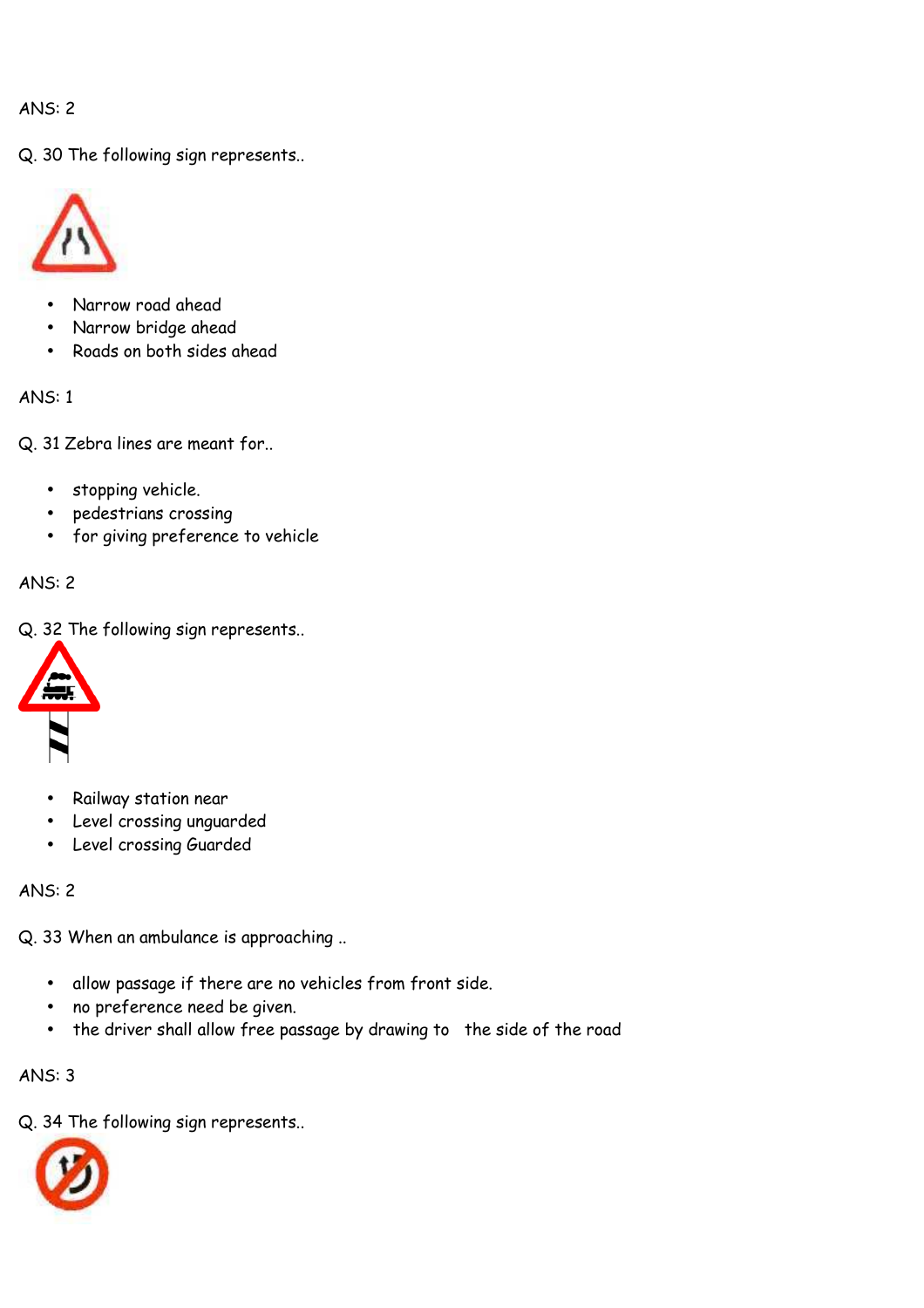Q. 30 The following sign represents..



- Narrow road ahead
- Narrow bridge ahead
- Roads on both sides ahead

ANS: 1

Q. 31 Zebra lines are meant for..

- stopping vehicle.
- pedestrians crossing
- for giving preference to vehicle

# ANS: 2

Q. 32 The following sign represents..



- Railway station near
- Level crossing unguarded
- Level crossing Guarded

ANS: 2

Q. 33 When an ambulance is approaching ..

- allow passage if there are no vehicles from front side.
- no preference need be given.
- the driver shall allow free passage by drawing to the side of the road

ANS: 3

Q. 34 The following sign represents..

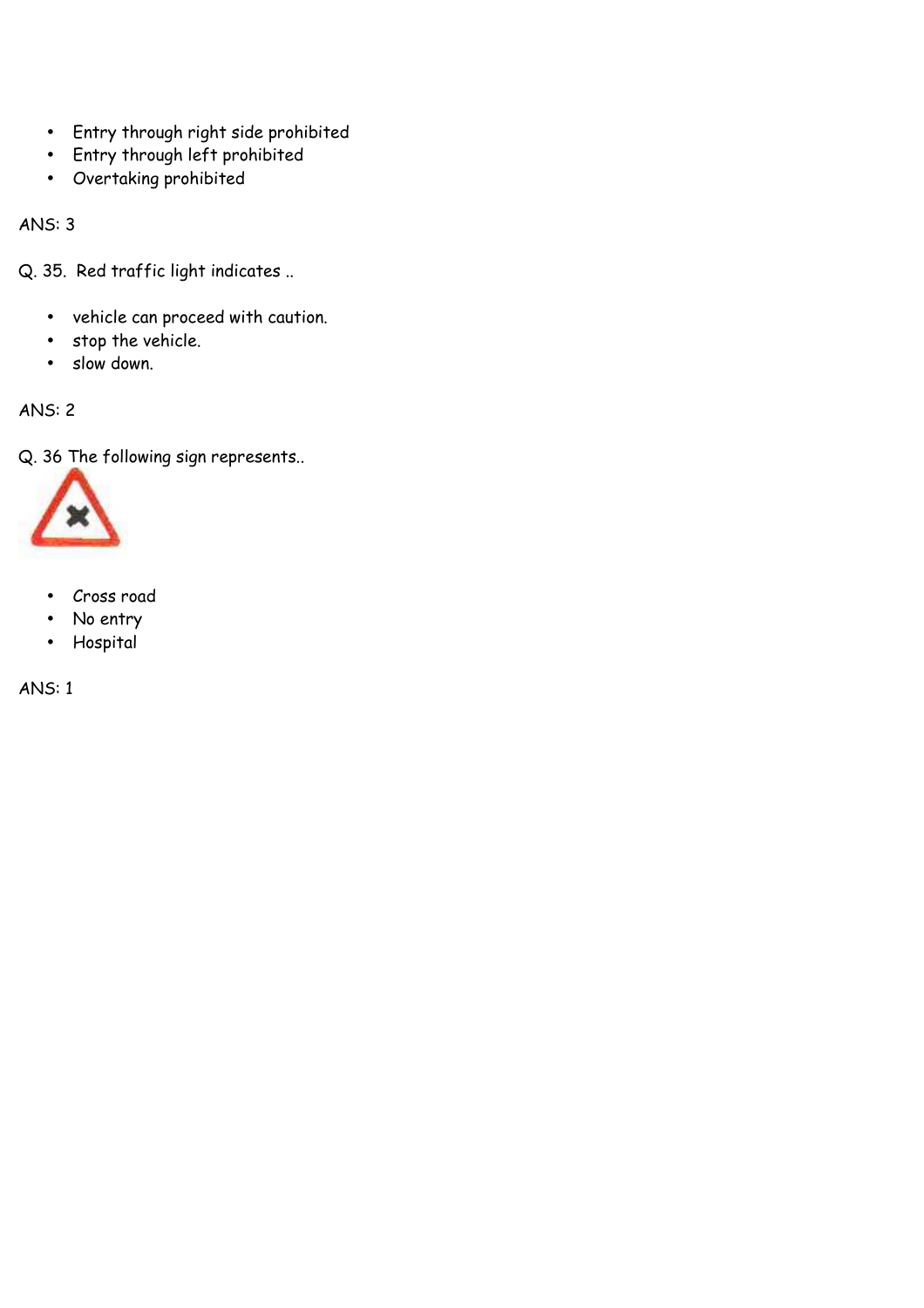- Entry through right side prohibited
- Entry through left prohibited
- Overtaking prohibited

Q. 35. Red traffic light indicates ..

- vehicle can proceed with caution.
- stop the vehicle.
- slow down.

ANS: 2

Q. 36 The following sign represents..



- Cross road
- No entry
- Hospital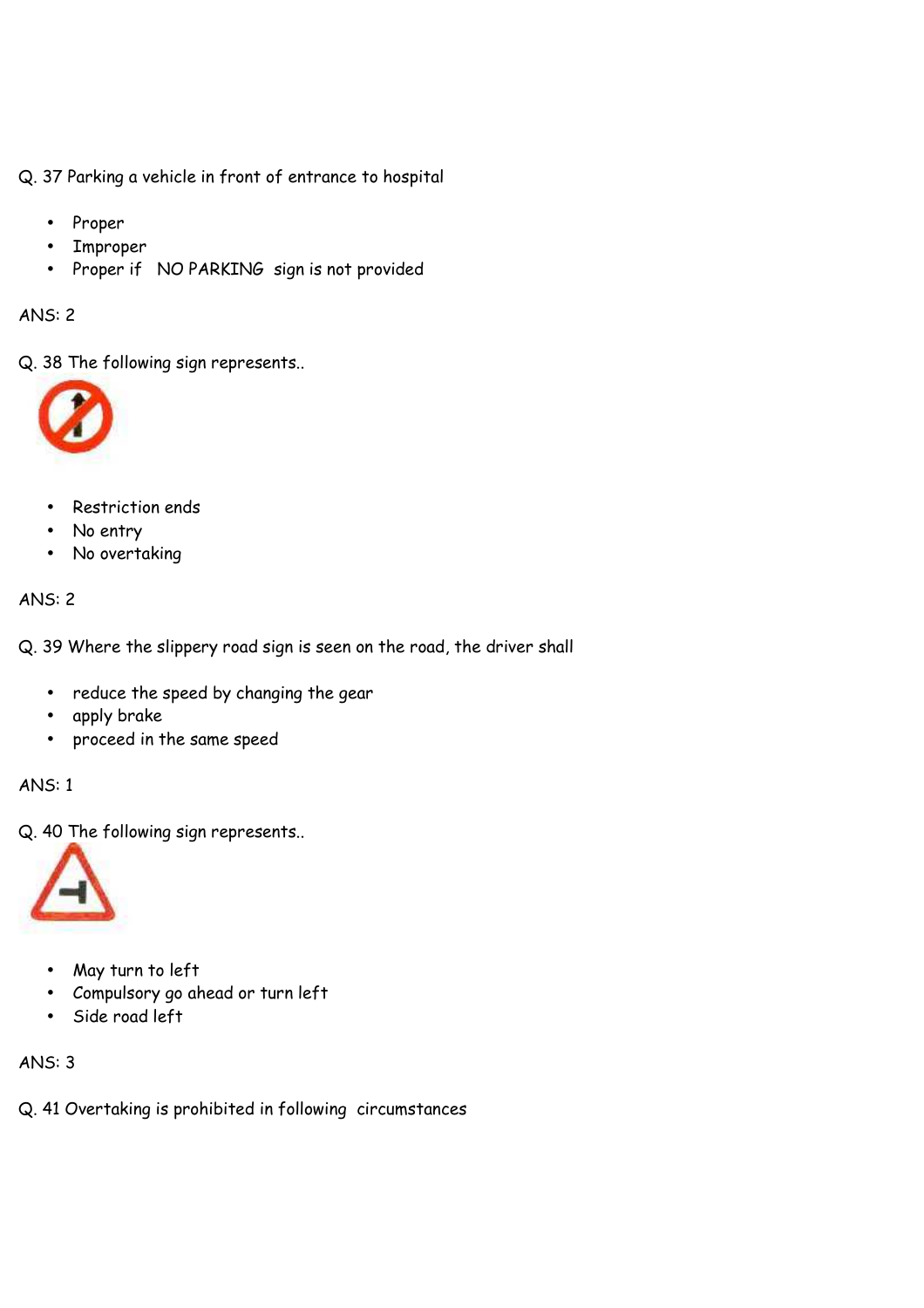Q. 37 Parking a vehicle in front of entrance to hospital

- Proper
- Improper
- Proper if NO PARKING sign is not provided

# ANS: 2

Q. 38 The following sign represents..



- Restriction ends
- No entry
- No overtaking

# ANS: 2

Q. 39 Where the slippery road sign is seen on the road, the driver shall

- reduce the speed by changing the gear
- apply brake
- proceed in the same speed

ANS: 1

Q. 40 The following sign represents..



- May turn to left
- Compulsory go ahead or turn left
- Side road left

# ANS: 3

Q. 41 Overtaking is prohibited in following circumstances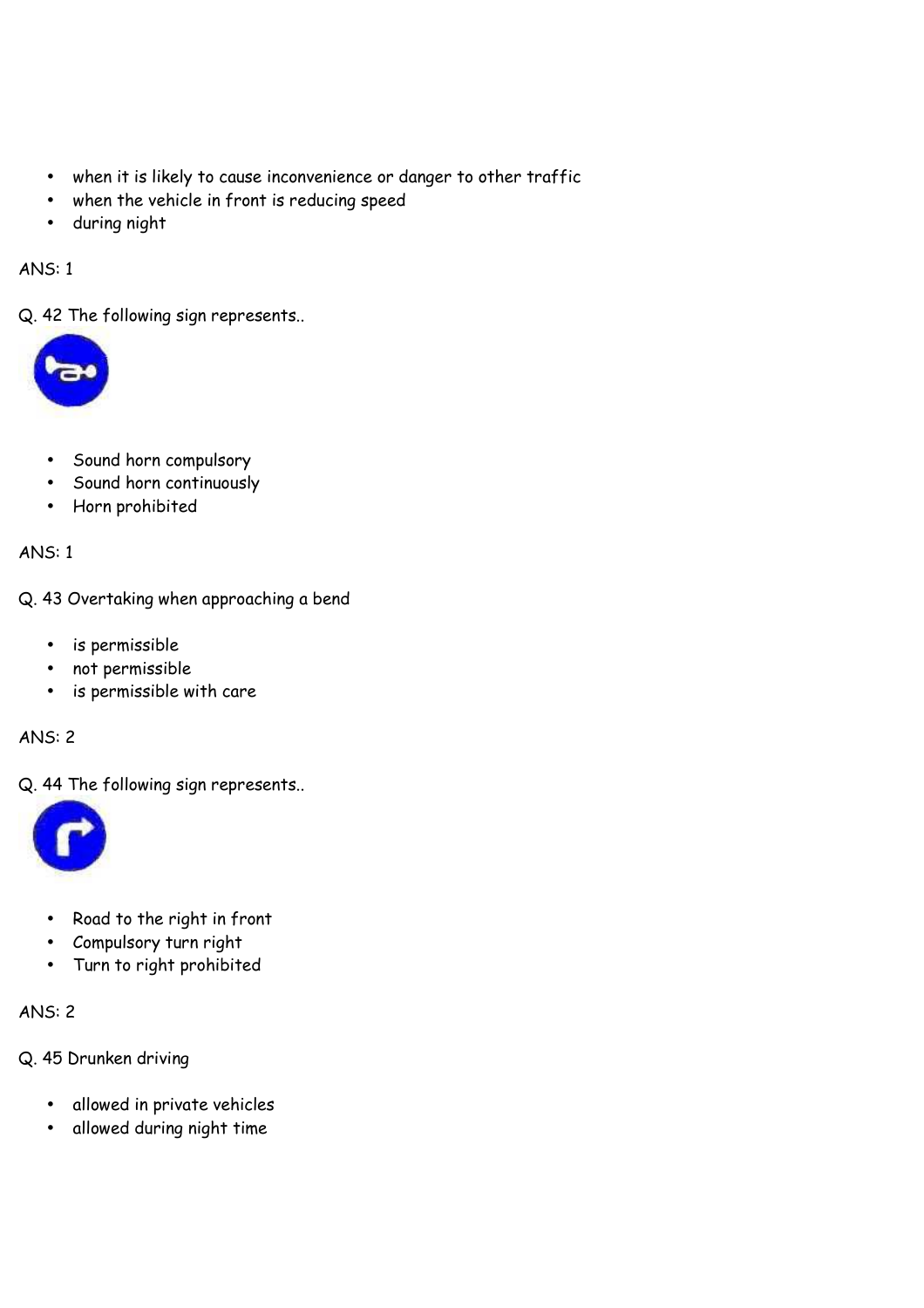- when it is likely to cause inconvenience or danger to other traffic
- when the vehicle in front is reducing speed
- during night

Q. 42 The following sign represents..



- Sound horn compulsory
- Sound horn continuously
- Horn prohibited

ANS: 1

Q. 43 Overtaking when approaching a bend

- is permissible
- not permissible
- is permissible with care

# ANS: 2

Q. 44 The following sign represents..



- Road to the right in front
- Compulsory turn right
- Turn to right prohibited

- Q. 45 Drunken driving
	- allowed in private vehicles
	- allowed during night time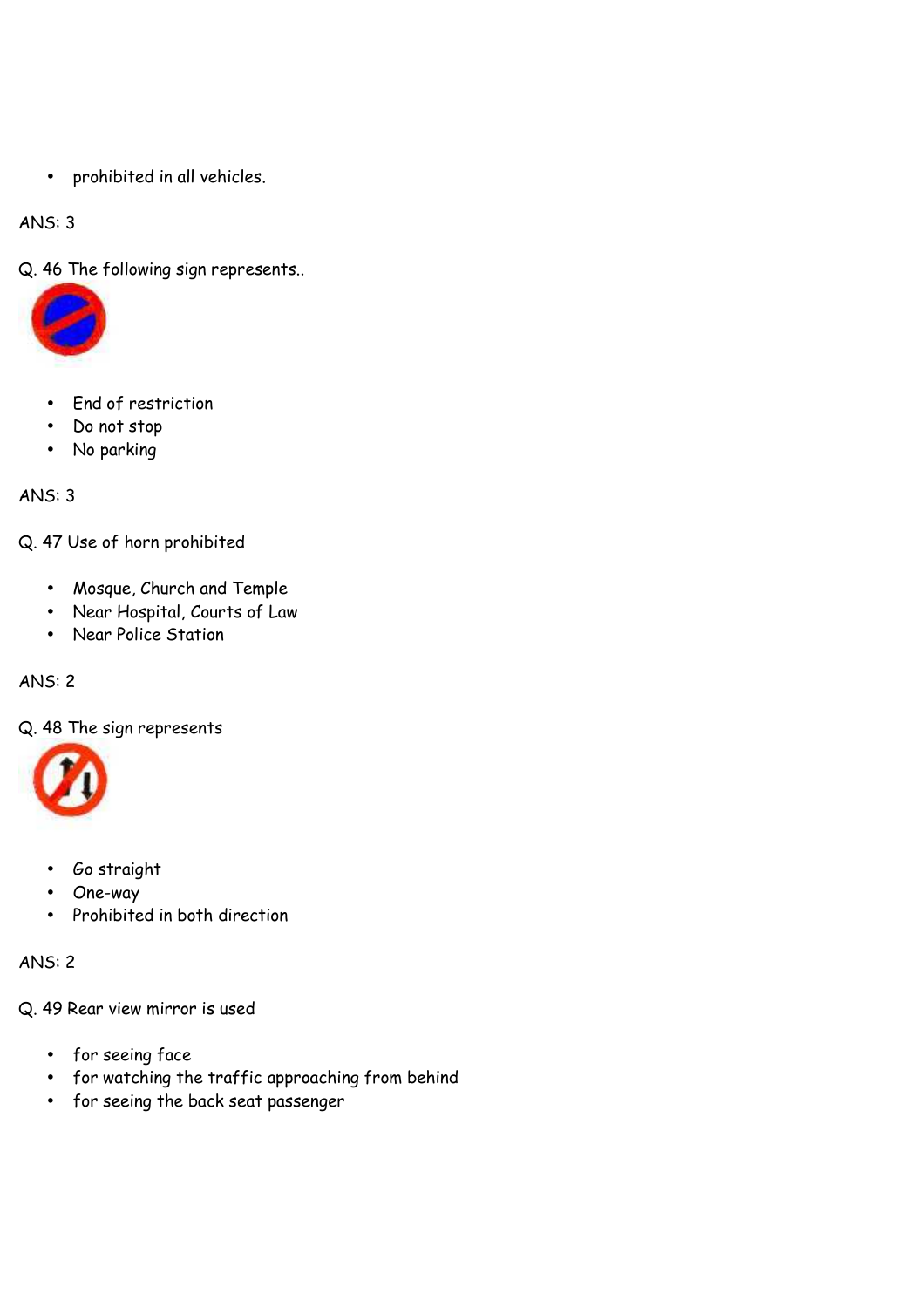• prohibited in all vehicles.

ANS: 3

Q. 46 The following sign represents..



- End of restriction
- Do not stop
- No parking

ANS: 3

Q. 47 Use of horn prohibited

- Mosque, Church and Temple
- Near Hospital, Courts of Law
- Near Police Station

ANS: 2

Q. 48 The sign represents



- Go straight
- One-way
- Prohibited in both direction

ANS: 2

Q. 49 Rear view mirror is used

- for seeing face
- for watching the traffic approaching from behind
- for seeing the back seat passenger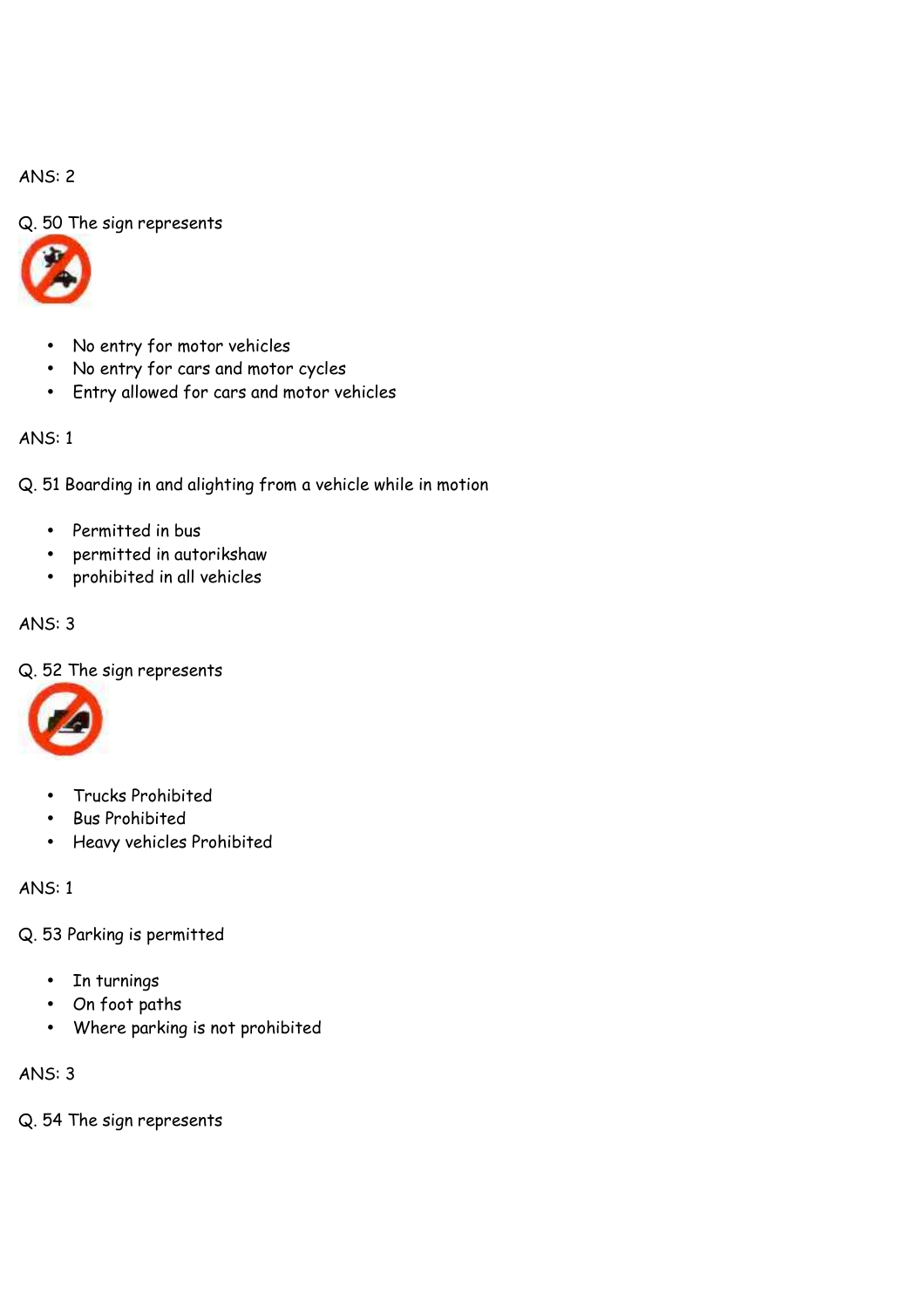# Q. 50 The sign represents



- No entry for motor vehicles
- No entry for cars and motor cycles
- Entry allowed for cars and motor vehicles

### ANS: 1

Q. 51 Boarding in and alighting from a vehicle while in motion

- Permitted in bus
- permitted in autorikshaw
- prohibited in all vehicles

#### ANS: 3

#### Q. 52 The sign represents



- Trucks Prohibited
- Bus Prohibited
- Heavy vehicles Prohibited

ANS: 1

- Q. 53 Parking is permitted
	- In turnings
	- On foot paths
	- Where parking is not prohibited

#### ANS: 3

Q. 54 The sign represents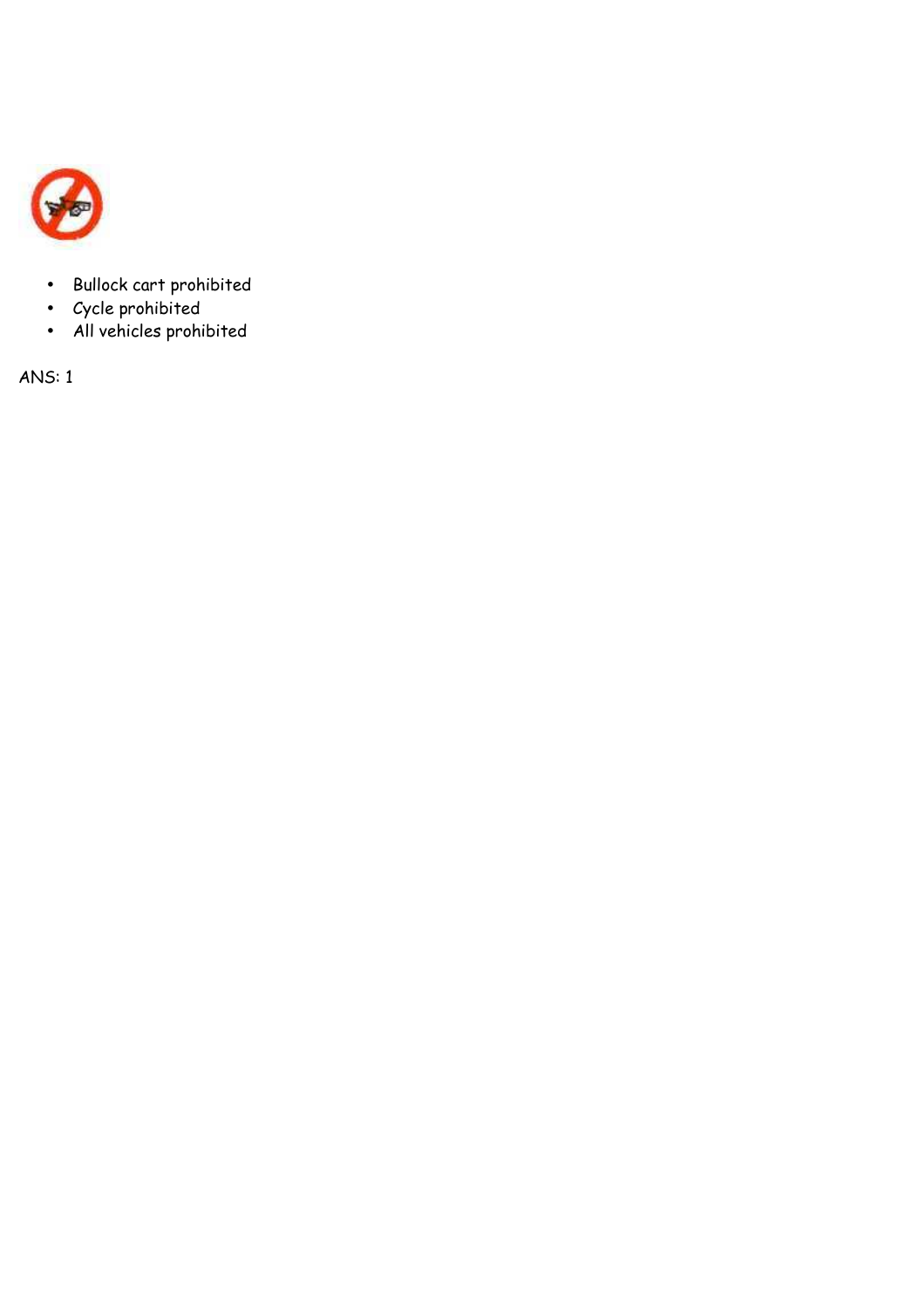

- Bullock cart prohibited
- Cycle prohibited
- All vehicles prohibited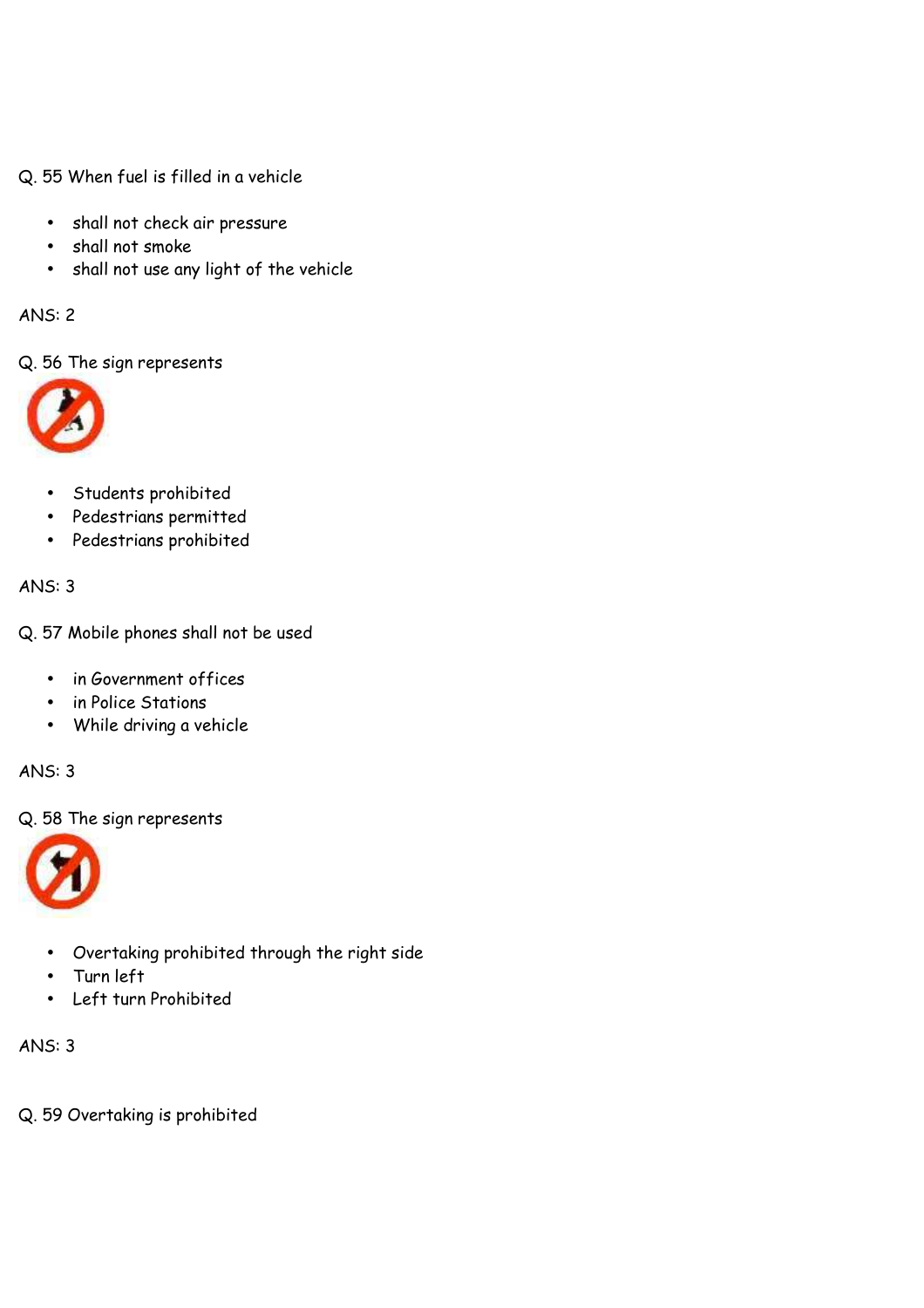Q. 55 When fuel is filled in a vehicle

- shall not check air pressure
- shall not smoke
- shall not use any light of the vehicle

ANS: 2

Q. 56 The sign represents



- Students prohibited
- Pedestrians permitted
- Pedestrians prohibited

ANS: 3

Q. 57 Mobile phones shall not be used

- in Government offices
- in Police Stations
- While driving a vehicle

ANS: 3

Q. 58 The sign represents



- Overtaking prohibited through the right side
- Turn left
- Left turn Prohibited

ANS: 3

Q. 59 Overtaking is prohibited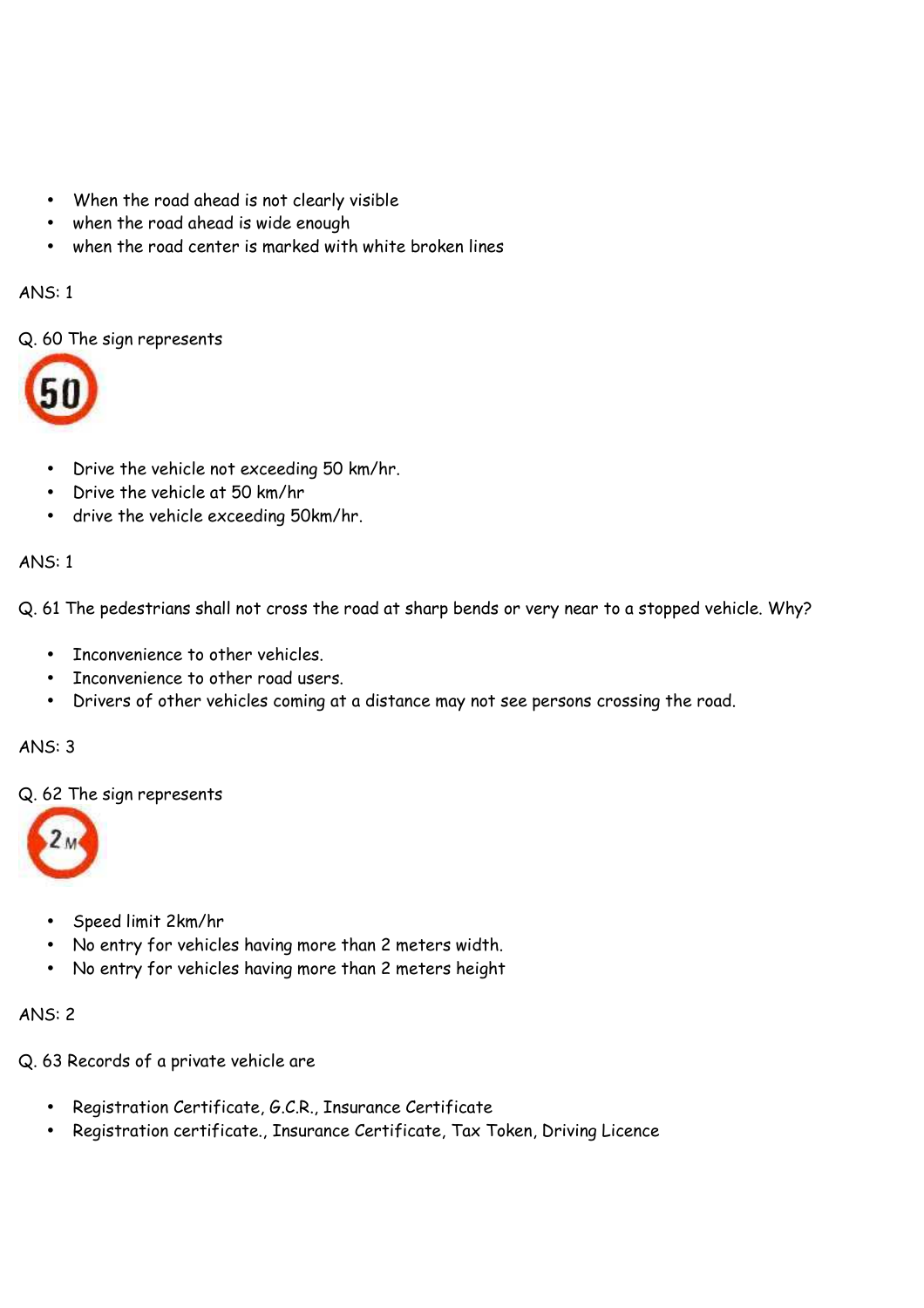- When the road ahead is not clearly visible
- when the road ahead is wide enough
- when the road center is marked with white broken lines

Q. 60 The sign represents



- Drive the vehicle not exceeding 50 km/hr.
- Drive the vehicle at 50 km/hr
- drive the vehicle exceeding 50km/hr.

# ANS: 1

Q. 61 The pedestrians shall not cross the road at sharp bends or very near to a stopped vehicle. Why?

- Inconvenience to other vehicles.
- Inconvenience to other road users.
- Drivers of other vehicles coming at a distance may not see persons crossing the road.

# ANS: 3

Q. 62 The sign represents



- Speed limit 2km/hr
- No entry for vehicles having more than 2 meters width.
- No entry for vehicles having more than 2 meters height

# ANS: 2

Q. 63 Records of a private vehicle are

- Registration Certificate, G.C.R., Insurance Certificate
- Registration certificate., Insurance Certificate, Tax Token, Driving Licence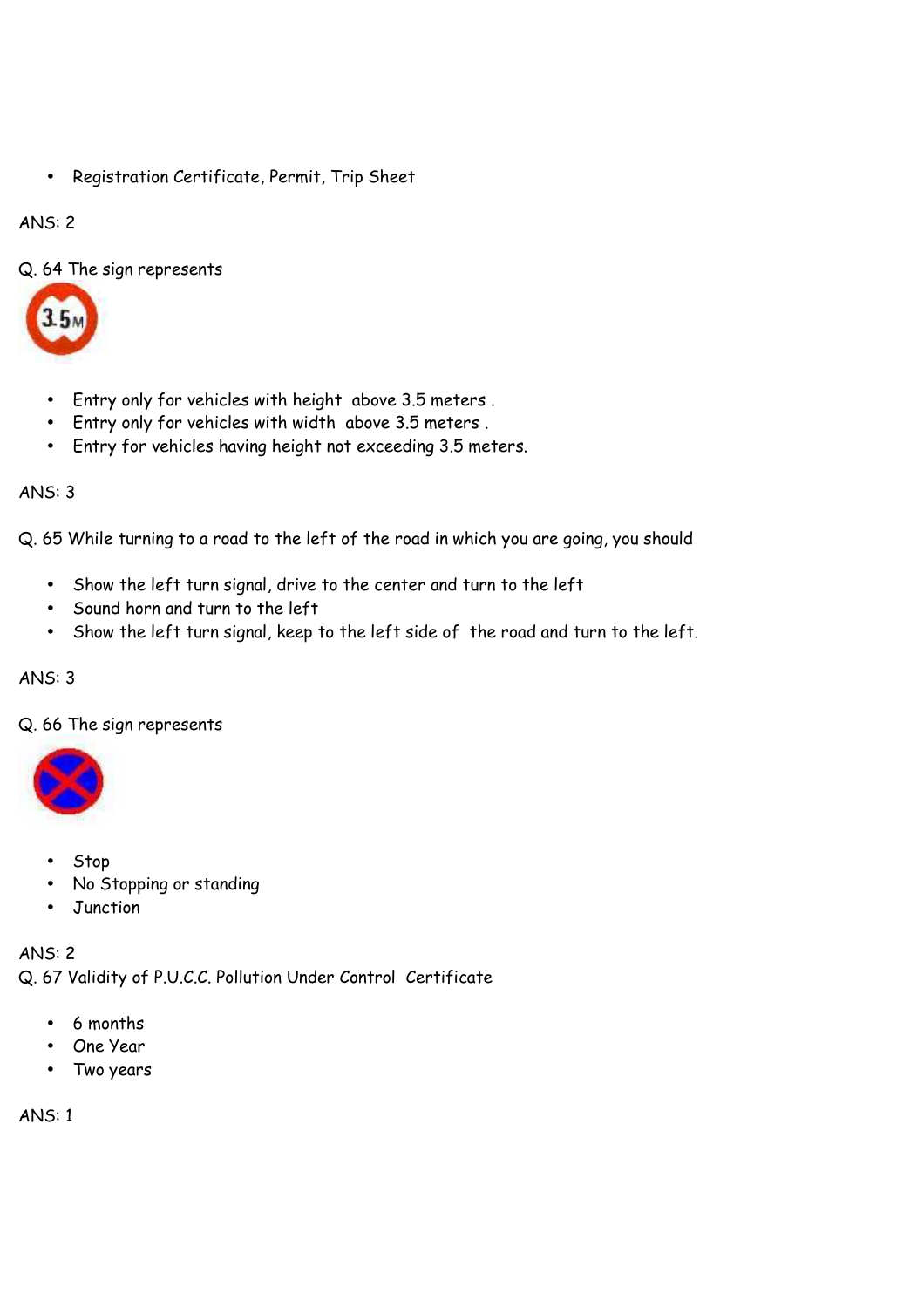• Registration Certificate, Permit, Trip Sheet

# ANS: 2

Q. 64 The sign represents



- Entry only for vehicles with height above 3.5 meters .
- Entry only for vehicles with width above 3.5 meters .
- Entry for vehicles having height not exceeding 3.5 meters.

# ANS: 3

Q. 65 While turning to a road to the left of the road in which you are going, you should

- Show the left turn signal, drive to the center and turn to the left
- Sound horn and turn to the left
- Show the left turn signal, keep to the left side of the road and turn to the left.

# ANS: 3

Q. 66 The sign represents



- Stop
- No Stopping or standing
- Junction

ANS: 2 Q. 67 Validity of P.U.C.C. Pollution Under Control Certificate

- 6 months
- One Year
- Two years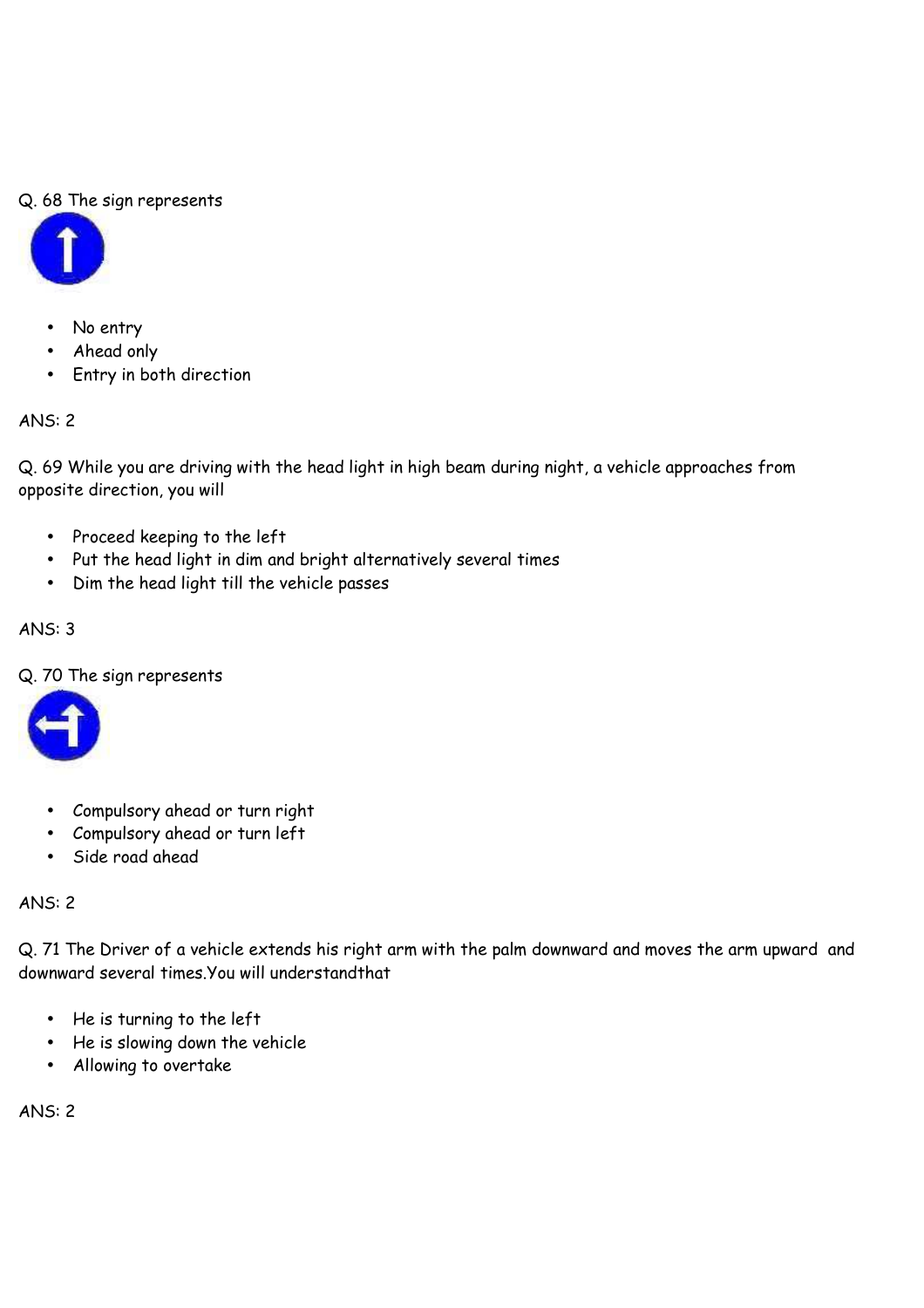# Q. 68 The sign represents



- No entry
- Ahead only
- Entry in both direction

# ANS: 2

Q. 69 While you are driving with the head light in high beam during night, a vehicle approaches from opposite direction, you will

- Proceed keeping to the left
- Put the head light in dim and bright alternatively several times
- Dim the head light till the vehicle passes

# ANS: 3

Q. 70 The sign represents



- Compulsory ahead or turn right
- Compulsory ahead or turn left
- Side road ahead

#### ANS: 2

Q. 71 The Driver of a vehicle extends his right arm with the palm downward and moves the arm upward and downward several times.You will understandthat

- He is turning to the left
- He is slowing down the vehicle
- Allowing to overtake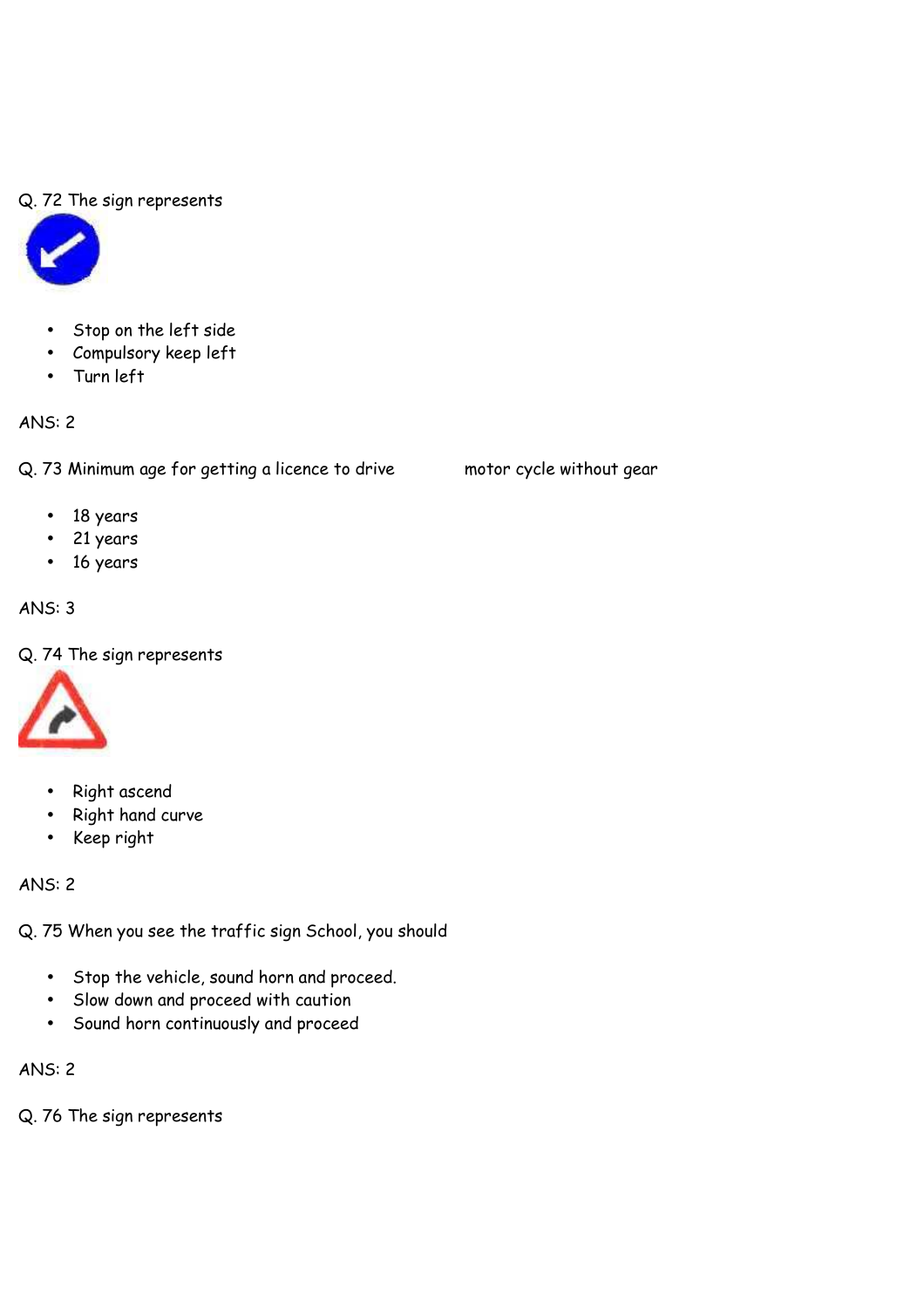### Q. 72 The sign represents



- Stop on the left side
- Compulsory keep left
- Turn left

# ANS: 2

Q. 73 Minimum age for getting a licence to drive motor cycle without gear

- 18 years
- 21 years
- 16 years

# ANS: 3

Q. 74 The sign represents



- Right ascend
- Right hand curve
- Keep right

ANS: 2

Q. 75 When you see the traffic sign School, you should

- Stop the vehicle, sound horn and proceed.
- Slow down and proceed with caution
- Sound horn continuously and proceed

ANS: 2

Q. 76 The sign represents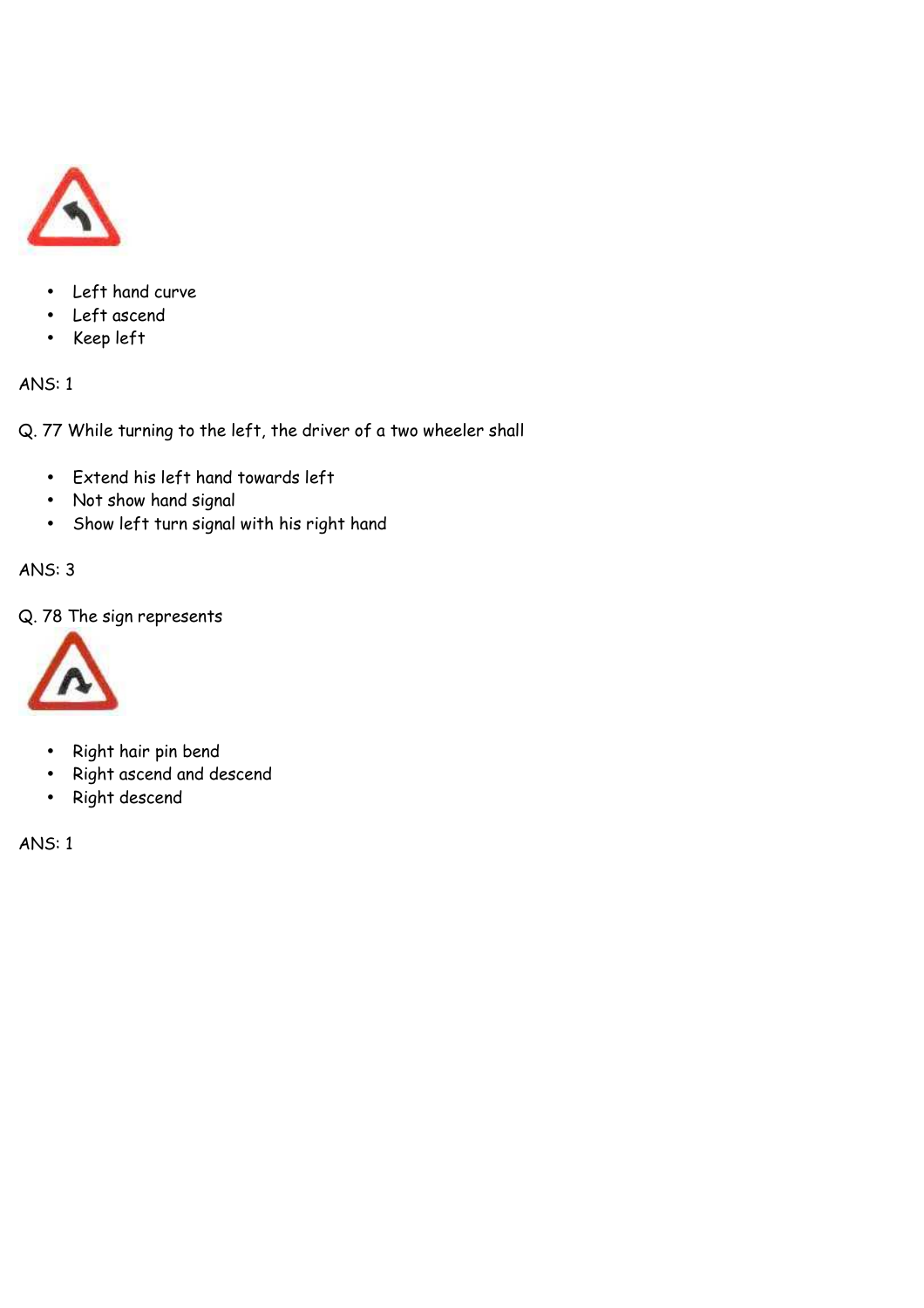

- Left hand curve
- Left ascend
- Keep left

Q. 77 While turning to the left, the driver of a two wheeler shall

- Extend his left hand towards left
- Not show hand signal
- Show left turn signal with his right hand

ANS: 3

Q. 78 The sign represents



- Right hair pin bend
- Right ascend and descend
- Right descend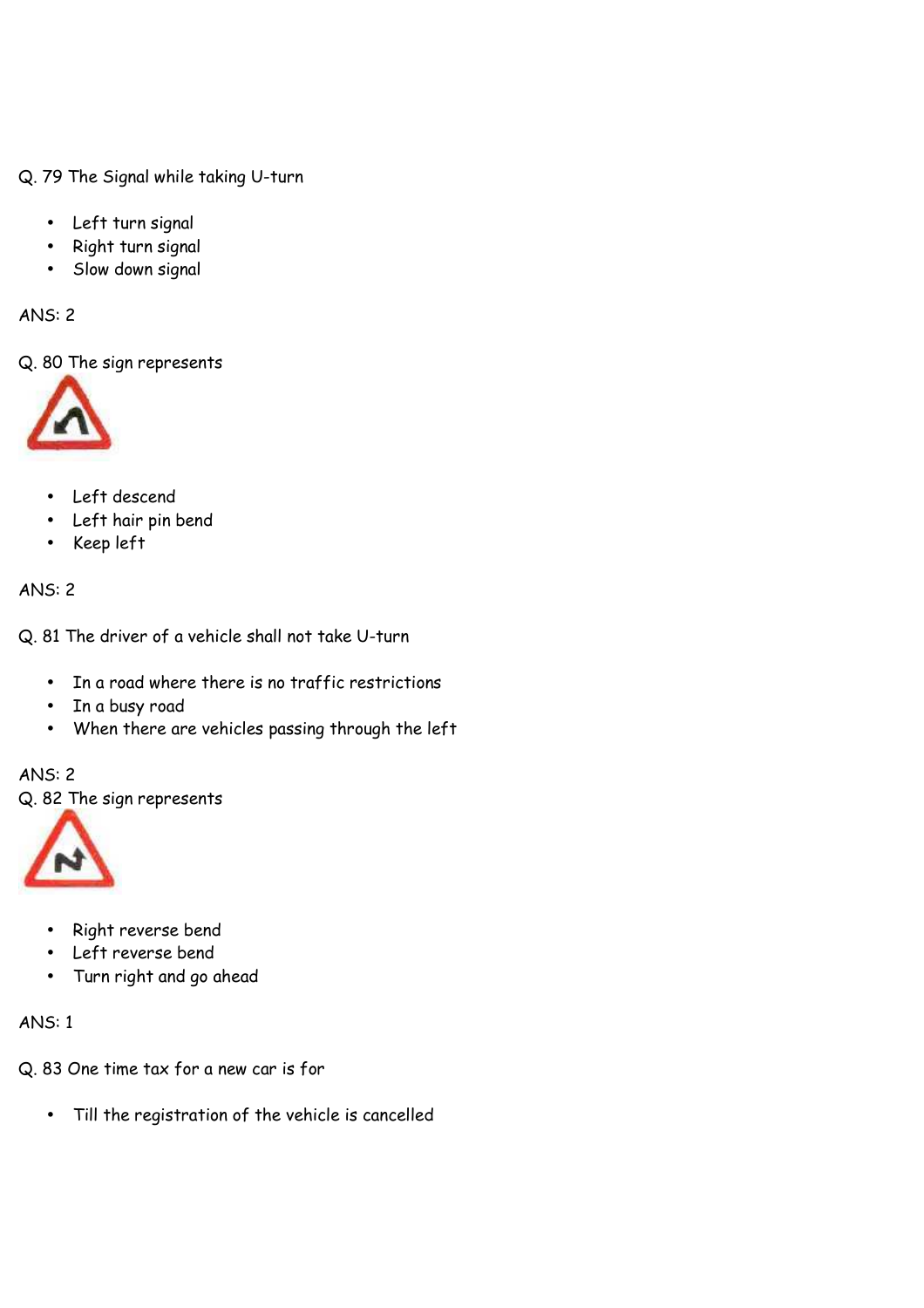Q. 79 The Signal while taking U-turn

- Left turn signal
- Right turn signal
- Slow down signal

ANS: 2

Q. 80 The sign represents



- Left descend
- Left hair pin bend
- Keep left

### ANS: 2

Q. 81 The driver of a vehicle shall not take U-turn

- In a road where there is no traffic restrictions
- In a busy road
- When there are vehicles passing through the left

#### ANS: 2

Q. 82 The sign represents



- Right reverse bend
- Left reverse bend
- Turn right and go ahead

- Q. 83 One time tax for a new car is for
	- Till the registration of the vehicle is cancelled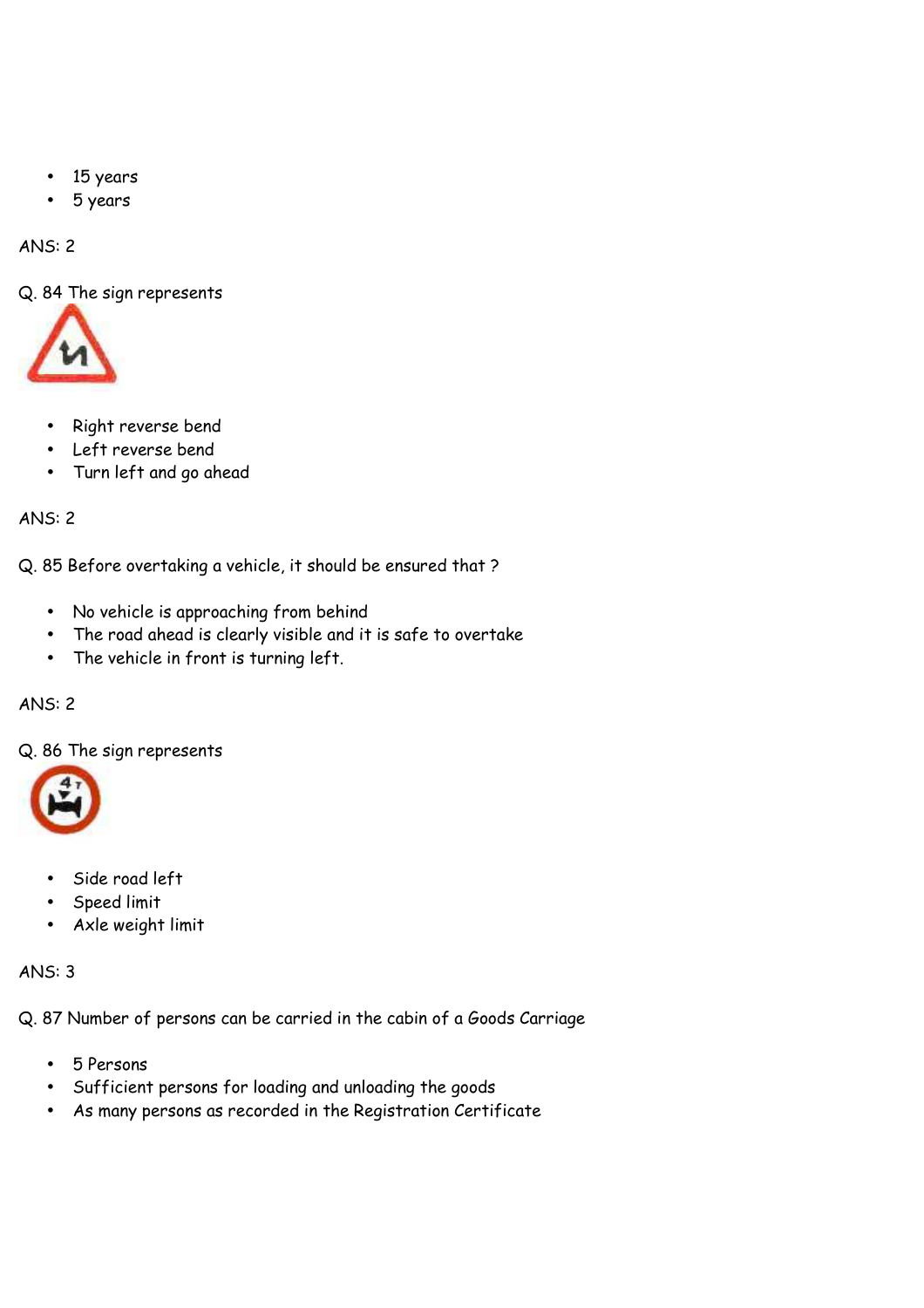- 15 years
- 5 years

Q. 84 The sign represents



- Right reverse bend
- Left reverse bend
- Turn left and go ahead

ANS: 2

Q. 85 Before overtaking a vehicle, it should be ensured that ?

- No vehicle is approaching from behind
- The road ahead is clearly visible and it is safe to overtake
- The vehicle in front is turning left.

# ANS: 2

Q. 86 The sign represents



- Side road left
- Speed limit
- Axle weight limit

# ANS: 3

Q. 87 Number of persons can be carried in the cabin of a Goods Carriage

- 5 Persons
- Sufficient persons for loading and unloading the goods
- As many persons as recorded in the Registration Certificate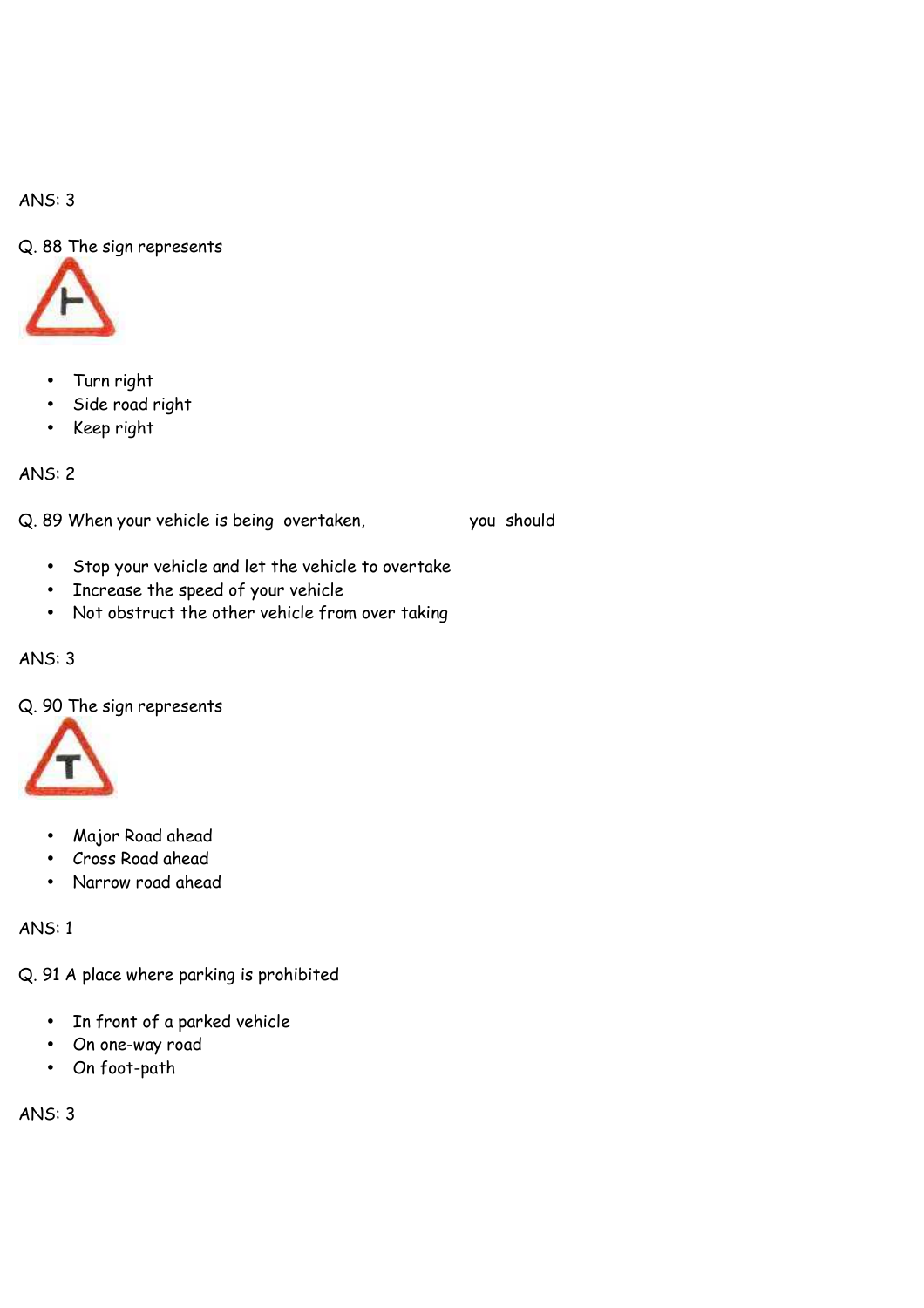Q. 88 The sign represents



- Turn right
- Side road right
- Keep right

ANS: 2

Q. 89 When your vehicle is being overtaken, you should

- Stop your vehicle and let the vehicle to overtake
- Increase the speed of your vehicle
- Not obstruct the other vehicle from over taking

### ANS: 3

Q. 90 The sign represents



- Major Road ahead
- Cross Road ahead
- Narrow road ahead

ANS: 1

Q. 91 A place where parking is prohibited

- In front of a parked vehicle
- On one-way road
- On foot-path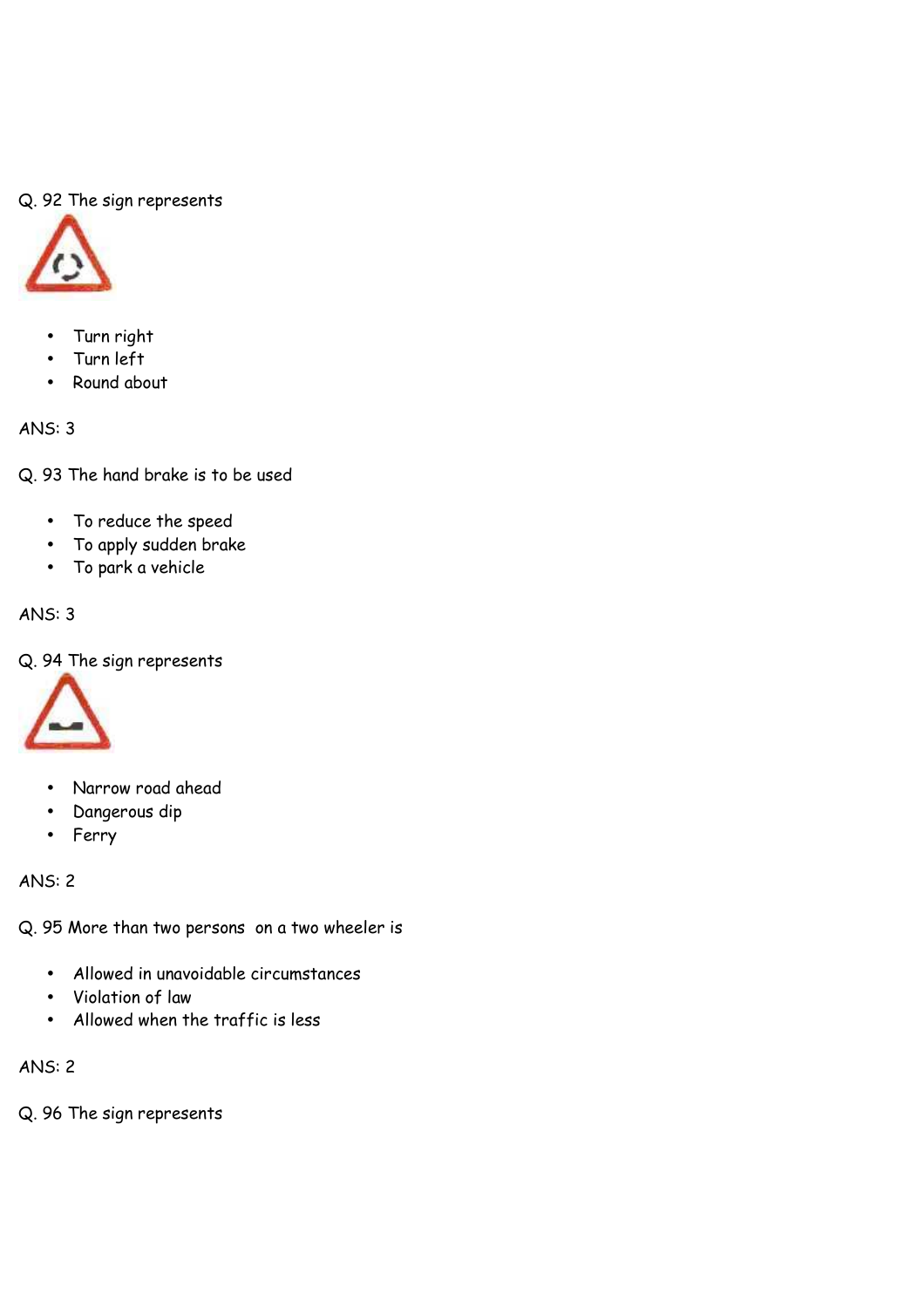# Q. 92 The sign represents



- Turn right
- Turn left
- Round about

ANS: 3

Q. 93 The hand brake is to be used

- To reduce the speed
- To apply sudden brake
- To park a vehicle

# ANS: 3

Q. 94 The sign represents



- Narrow road ahead
- Dangerous dip
- Ferry

ANS: 2

Q. 95 More than two persons on a two wheeler is

- Allowed in unavoidable circumstances
- Violation of law
- Allowed when the traffic is less

ANS: 2

Q. 96 The sign represents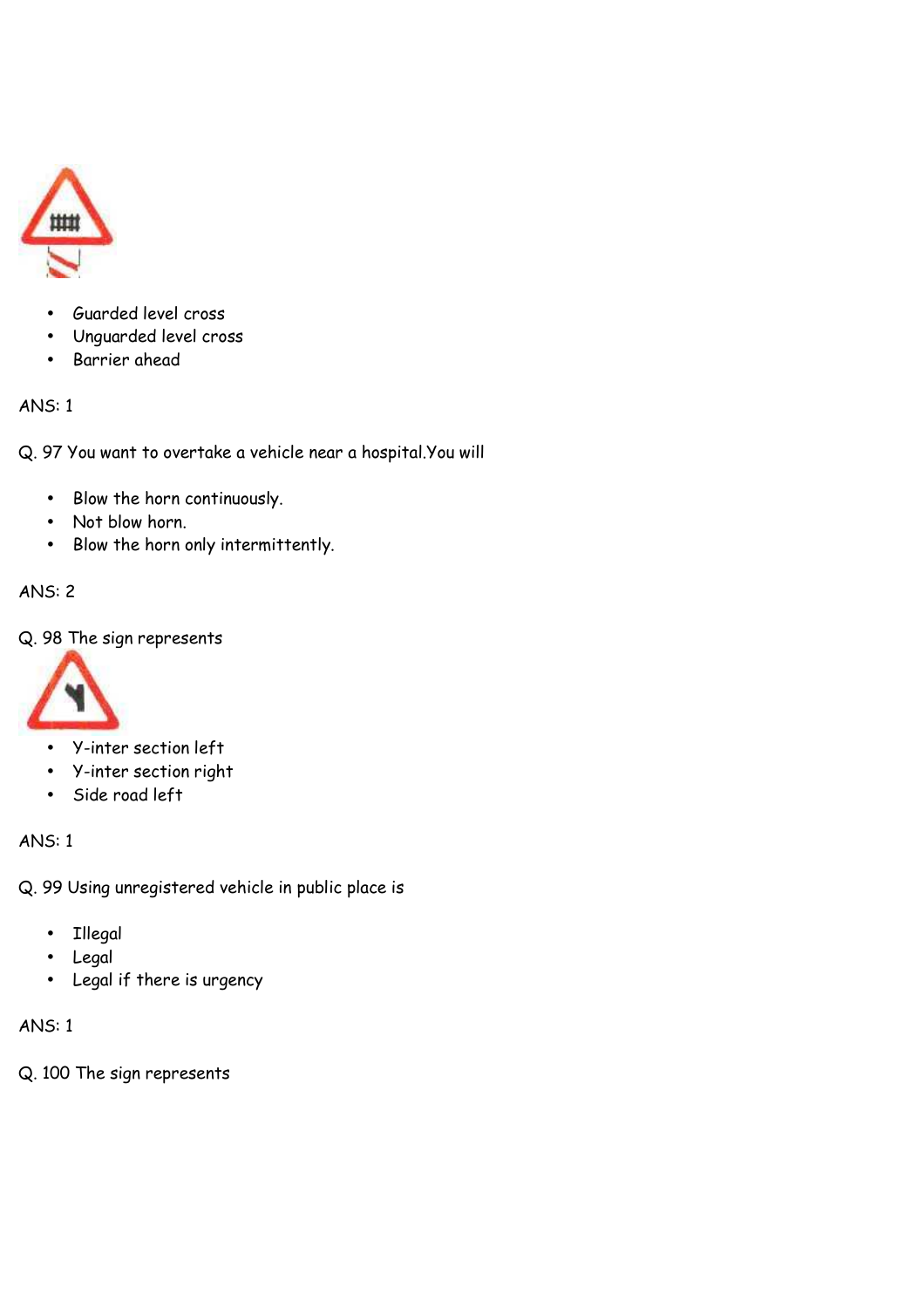

- Guarded level cross
- Unguarded level cross
- Barrier ahead

Q. 97 You want to overtake a vehicle near a hospital.You will

- Blow the horn continuously.
- Not blow horn.
- Blow the horn only intermittently.

# ANS: 2

# Q. 98 The sign represents



- Y-inter section left
- Y-inter section right
- Side road left

# ANS: 1

Q. 99 Using unregistered vehicle in public place is

- Illegal
- Legal
- Legal if there is urgency

# ANS: 1

Q. 100 The sign represents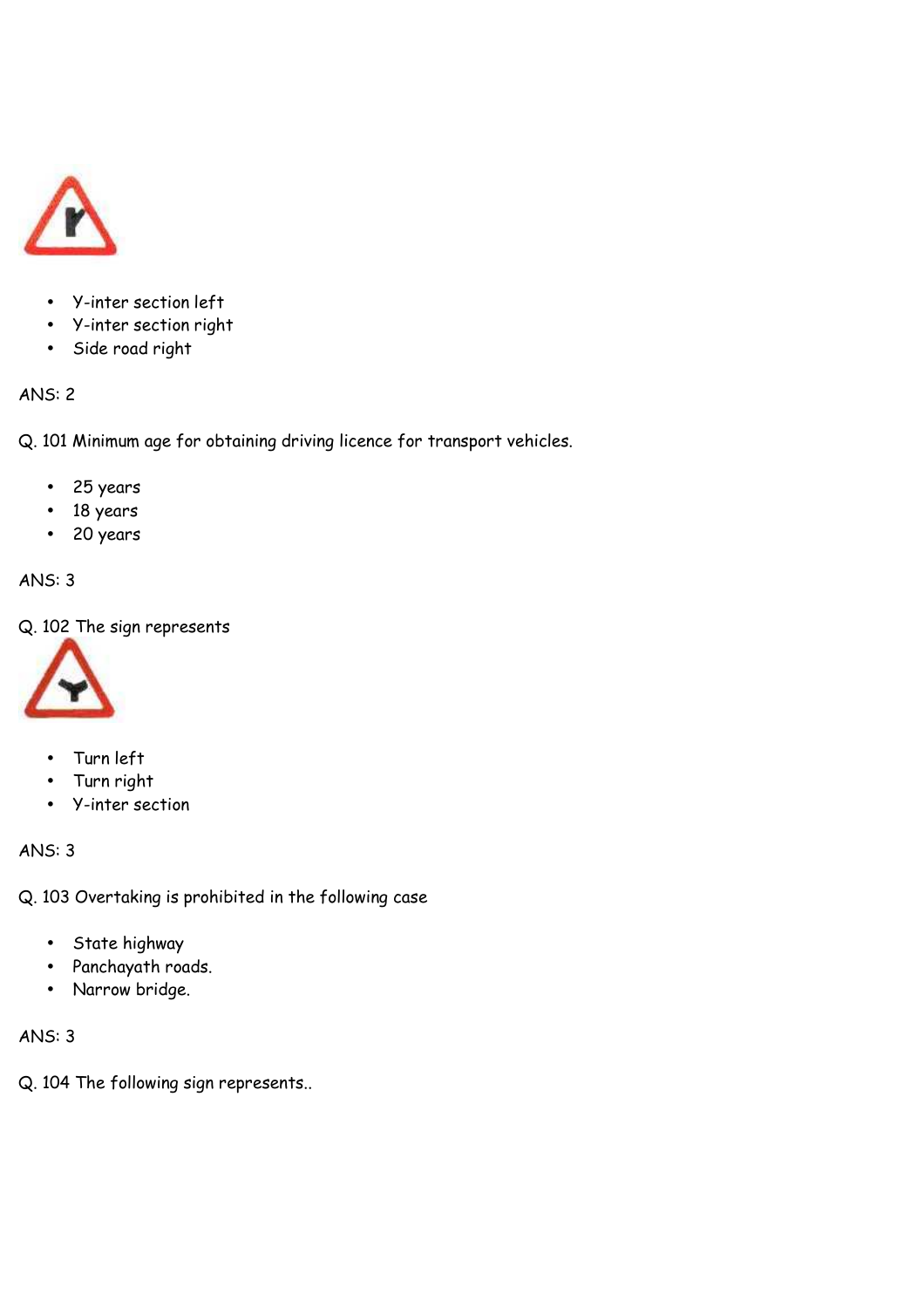

- Y-inter section left
- Y-inter section right
- Side road right

Q. 101 Minimum age for obtaining driving licence for transport vehicles.

- 25 years
- 18 years
- 20 years

# ANS: 3

Q. 102 The sign represents



- Turn left
- Turn right
- Y-inter section

# ANS: 3

Q. 103 Overtaking is prohibited in the following case

- State highway
- Panchayath roads.
- Narrow bridge.

# ANS: 3

Q. 104 The following sign represents..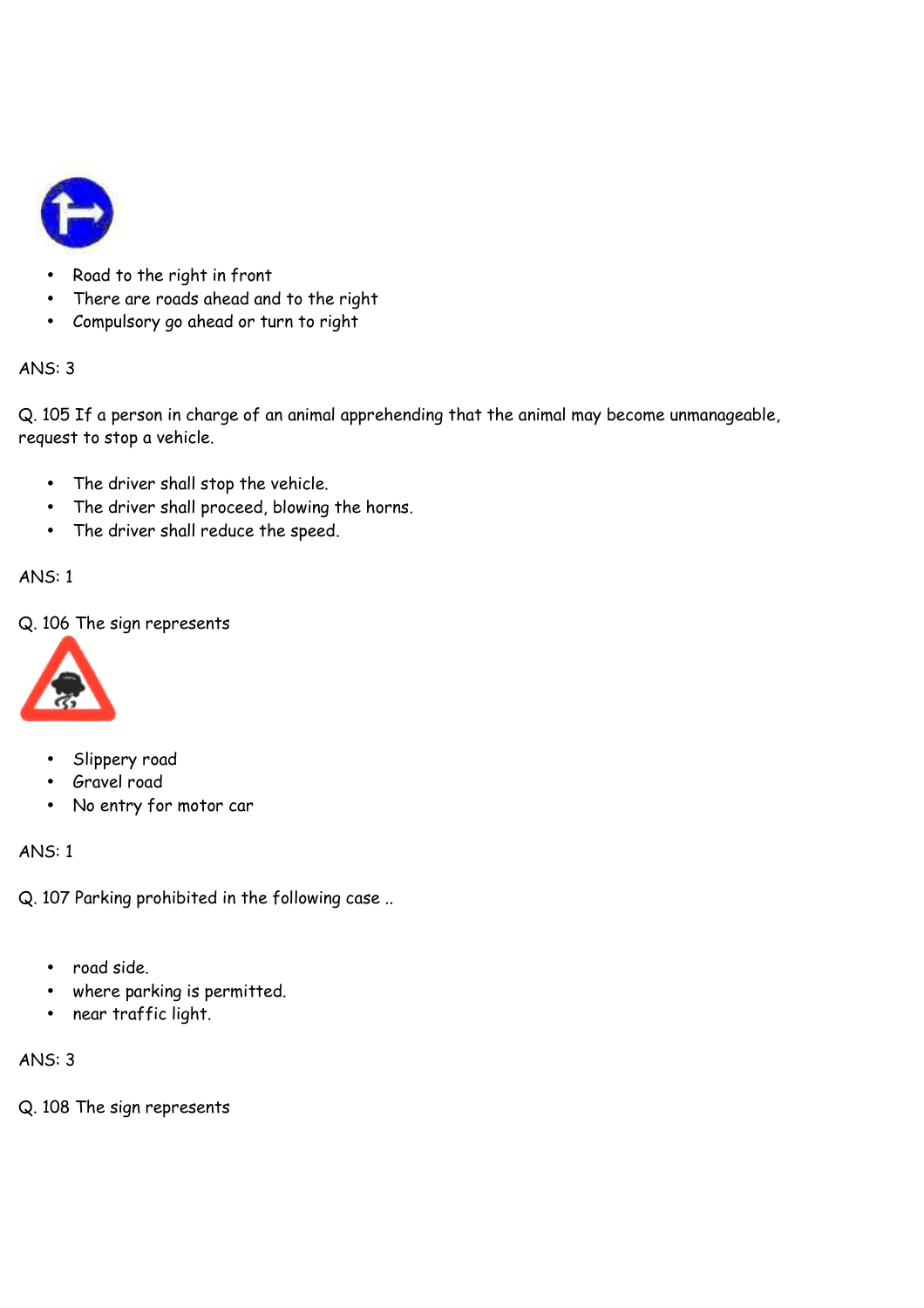

- Road to the right in front
- There are roads ahead and to the right
- Compulsory go ahead or turn to right

Q. 105 If a person in charge of an animal apprehending that the animal may become unmanageable, request to stop a vehicle.

- The driver shall stop the vehicle.
- The driver shall proceed, blowing the horns.
- The driver shall reduce the speed.

# ANS: 1

Q. 106 The sign represents



- Slippery road
- Gravel road
- No entry for motor car

# ANS: 1

Q. 107 Parking prohibited in the following case ..

- road side.
- where parking is permitted.
- near traffic light.

# ANS: 3

Q. 108 The sign represents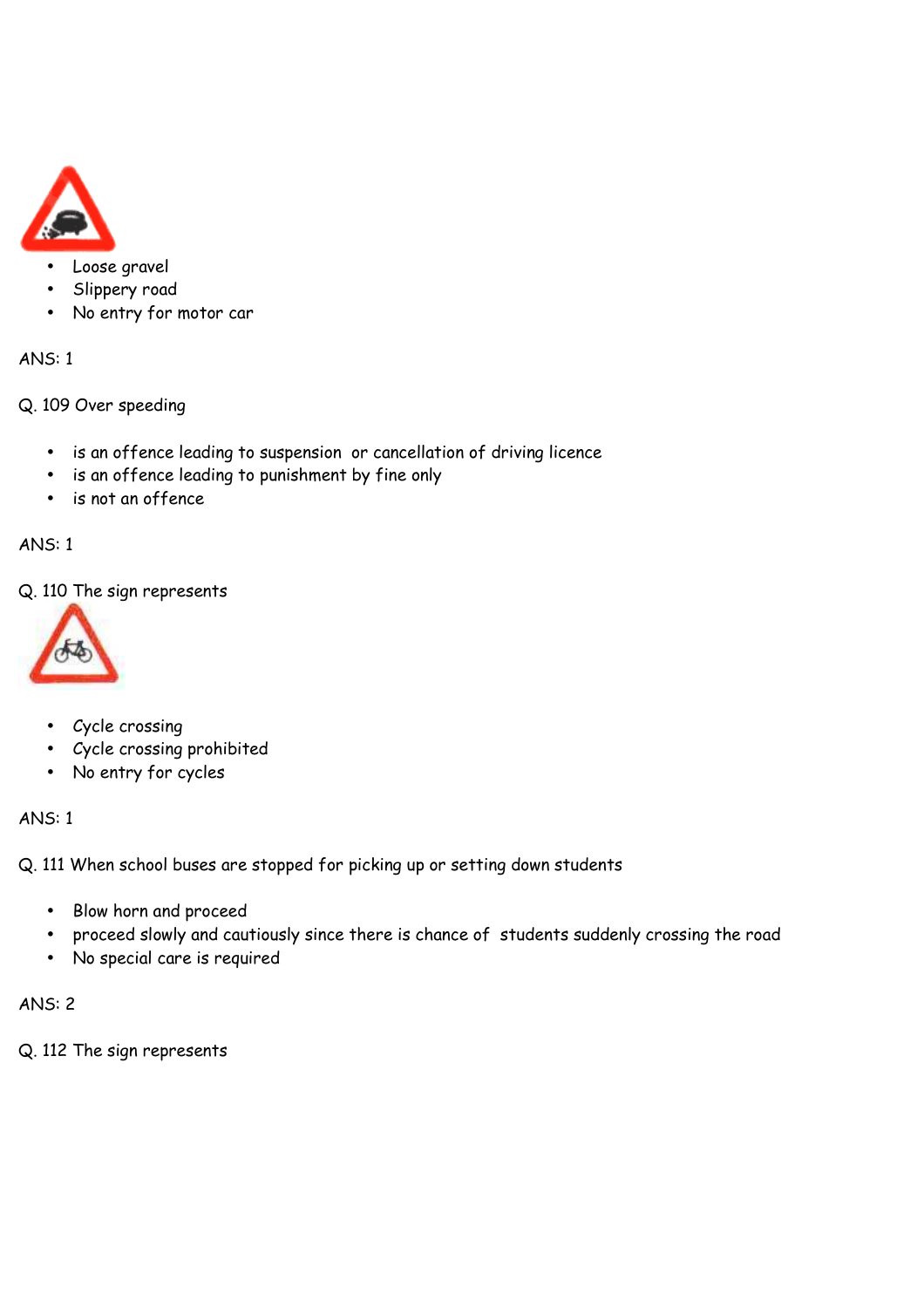

# • Loose gravel

- Slippery road
- No entry for motor car

# ANS: 1

Q. 109 Over speeding

- is an offence leading to suspension or cancellation of driving licence
- is an offence leading to punishment by fine only
- is not an offence

# ANS: 1

Q. 110 The sign represents



- Cycle crossing
- Cycle crossing prohibited
- No entry for cycles

#### ANS: 1

Q. 111 When school buses are stopped for picking up or setting down students

- Blow horn and proceed
- proceed slowly and cautiously since there is chance of students suddenly crossing the road
- No special care is required

# ANS: 2

Q. 112 The sign represents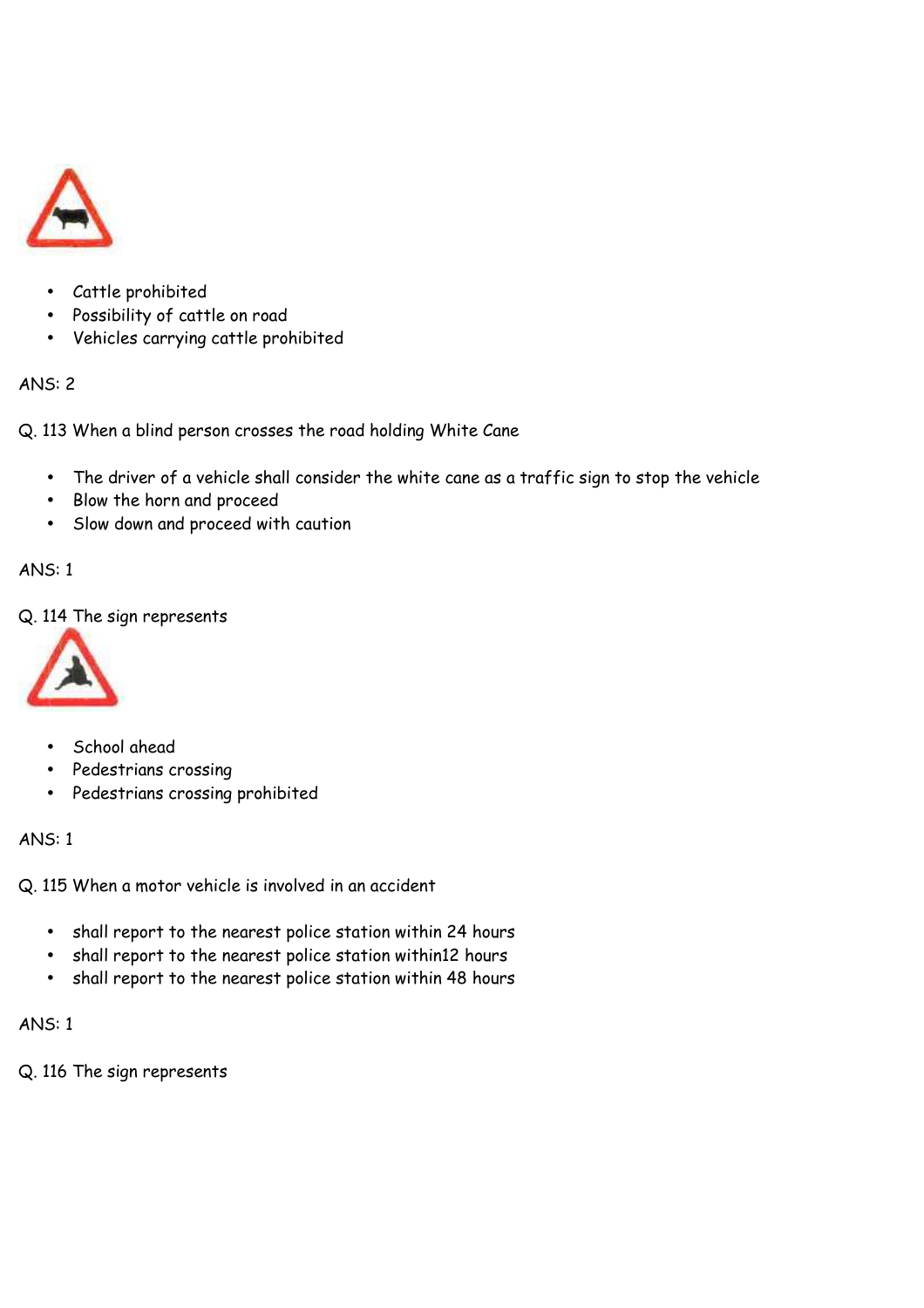

- Cattle prohibited
- Possibility of cattle on road
- Vehicles carrying cattle prohibited

Q. 113 When a blind person crosses the road holding White Cane

- The driver of a vehicle shall consider the white cane as a traffic sign to stop the vehicle
- Blow the horn and proceed
- Slow down and proceed with caution

# ANS: 1

Q. 114 The sign represents



- School ahead
- Pedestrians crossing
- Pedestrians crossing prohibited

# ANS: 1

Q. 115 When a motor vehicle is involved in an accident

- shall report to the nearest police station within 24 hours
- shall report to the nearest police station within12 hours
- shall report to the nearest police station within 48 hours

# ANS: 1

Q. 116 The sign represents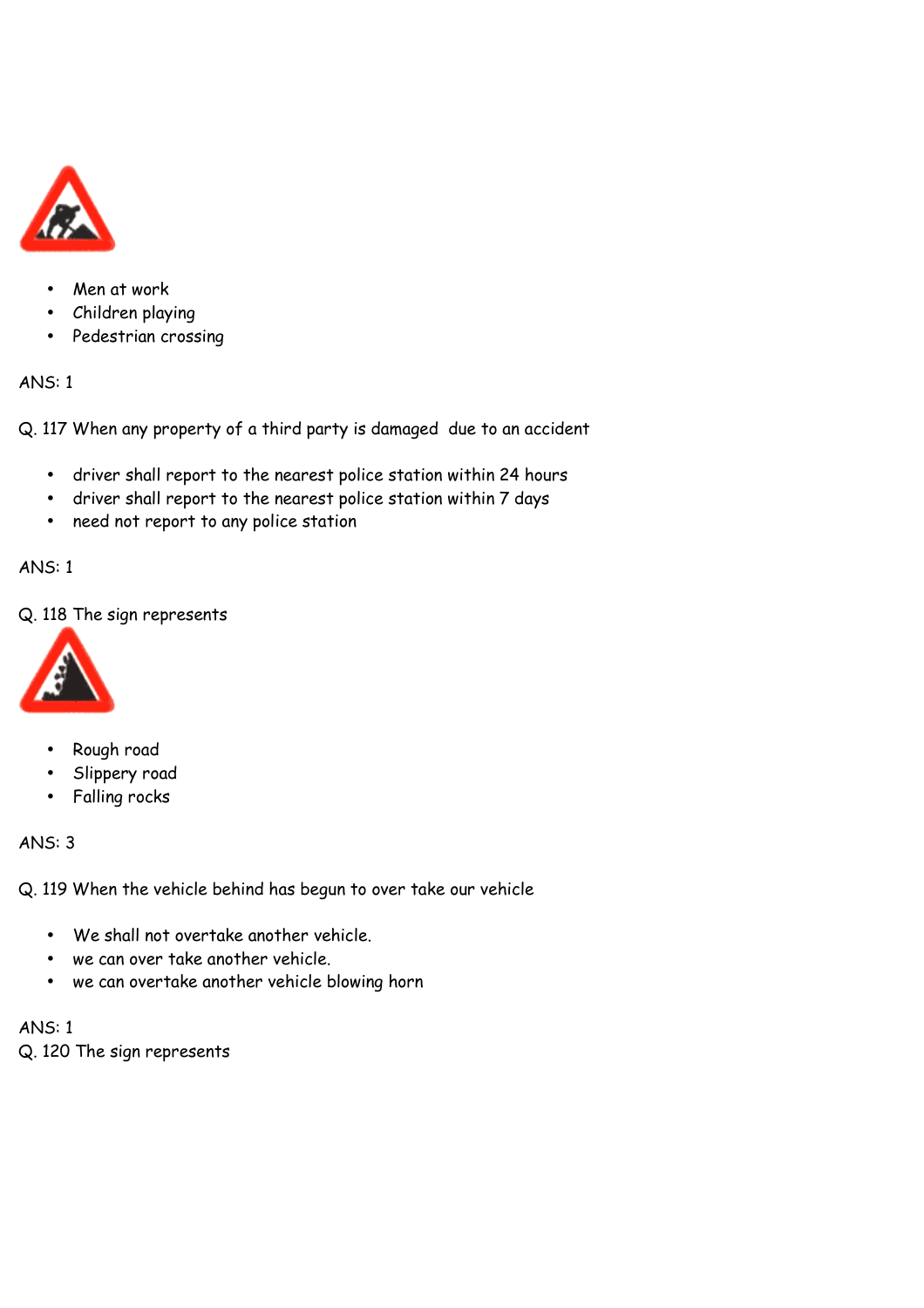

- Men at work
- Children playing
- Pedestrian crossing

Q. 117 When any property of a third party is damaged due to an accident

- driver shall report to the nearest police station within 24 hours
- driver shall report to the nearest police station within 7 days
- need not report to any police station

#### ANS: 1

Q. 118 The sign represents



- Rough road
- Slippery road
- Falling rocks

#### ANS: 3

Q. 119 When the vehicle behind has begun to over take our vehicle

- We shall not overtake another vehicle.
- we can over take another vehicle.
- we can overtake another vehicle blowing horn

ANS: 1 Q. 120 The sign represents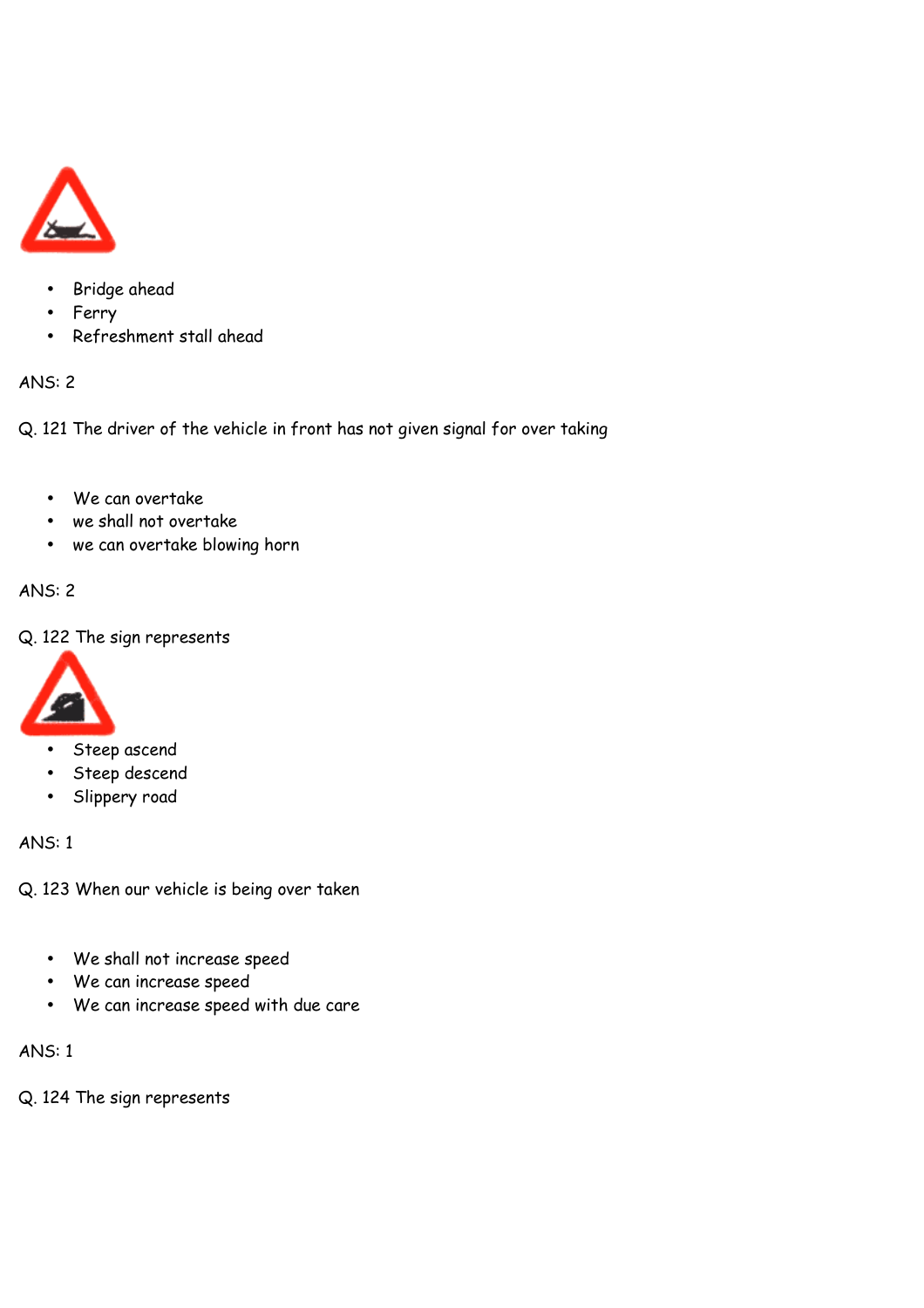

- Bridge ahead
- Ferry
- Refreshment stall ahead

Q. 121 The driver of the vehicle in front has not given signal for over taking

- We can overtake
- we shall not overtake
- we can overtake blowing horn

# ANS: 2

Q. 122 The sign represents



- Steep ascend
- Steep descend
- Slippery road

# ANS: 1

Q. 123 When our vehicle is being over taken

- We shall not increase speed
- We can increase speed
- We can increase speed with due care

ANS: 1

Q. 124 The sign represents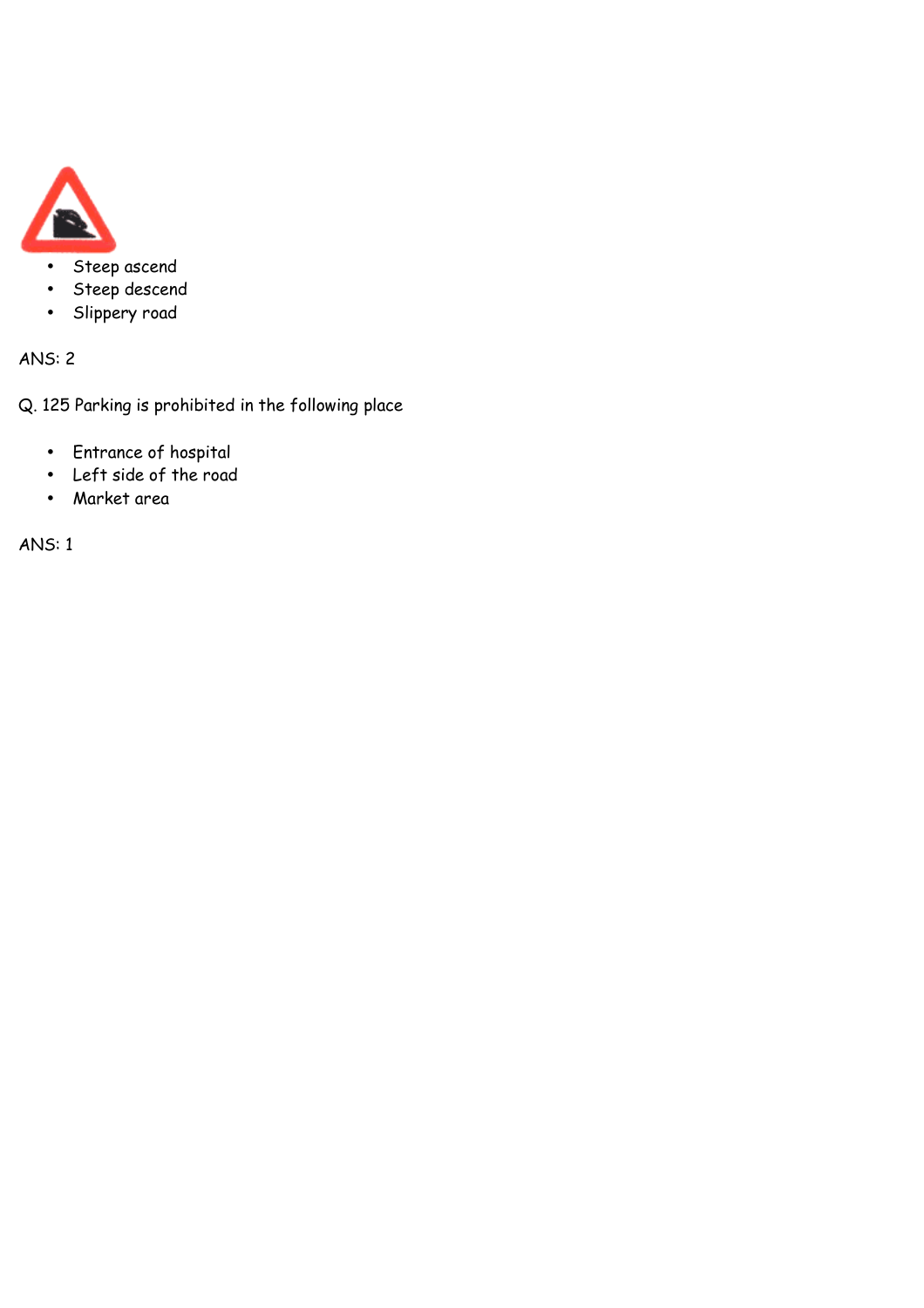

- Steep ascend
- Steep descend
- Slippery road

Q. 125 Parking is prohibited in the following place

- Entrance of hospital
- Left side of the road
- Market area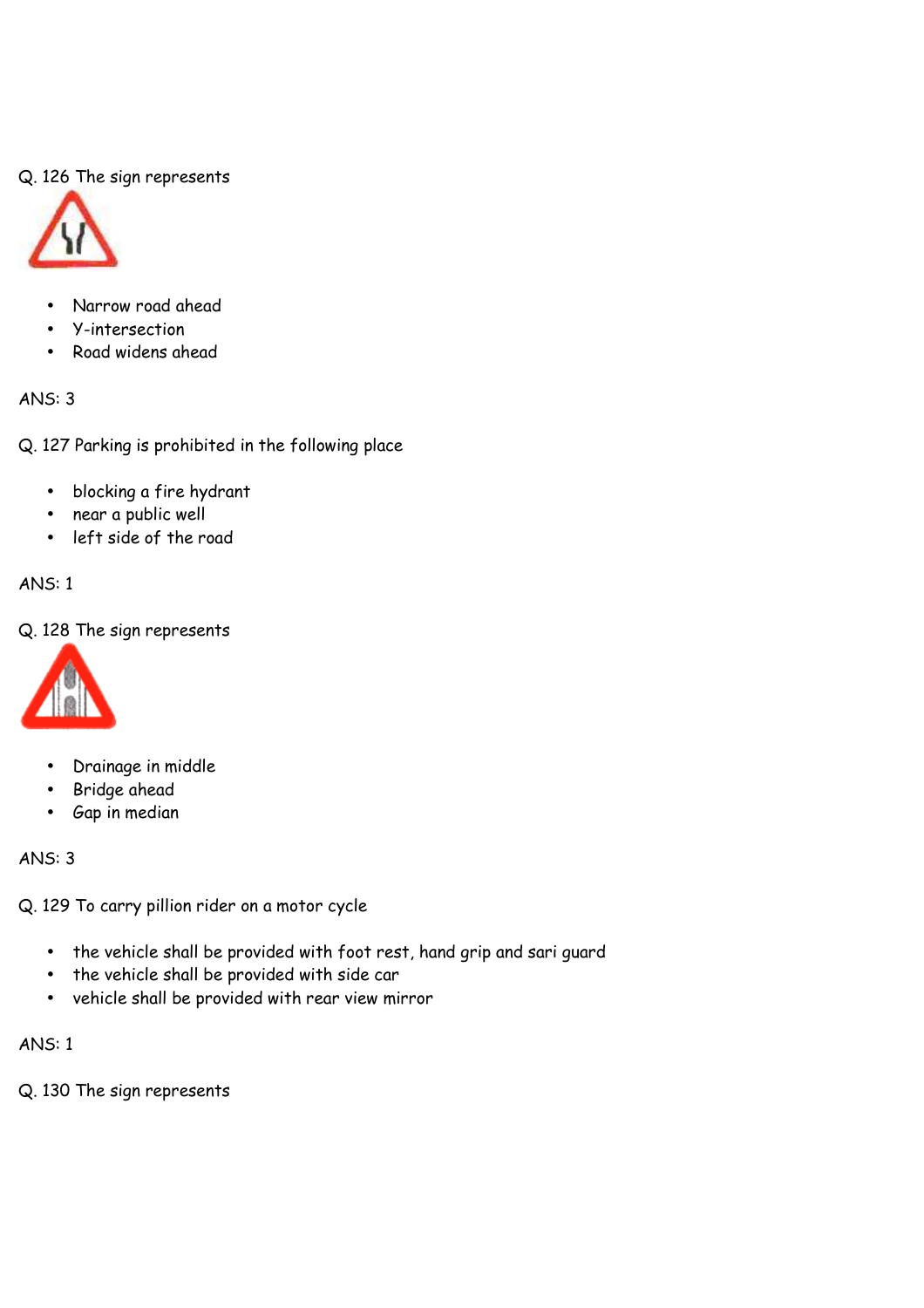# Q. 126 The sign represents



- Narrow road ahead
- Y-intersection
- Road widens ahead

#### ANS: 3

Q. 127 Parking is prohibited in the following place

- blocking a fire hydrant
- near a public well
- left side of the road

# ANS: 1

# Q. 128 The sign represents



- Drainage in middle
- Bridge ahead
- Gap in median

ANS: 3

Q. 129 To carry pillion rider on a motor cycle

- the vehicle shall be provided with foot rest, hand grip and sari guard
- the vehicle shall be provided with side car
- vehicle shall be provided with rear view mirror

# ANS: 1

Q. 130 The sign represents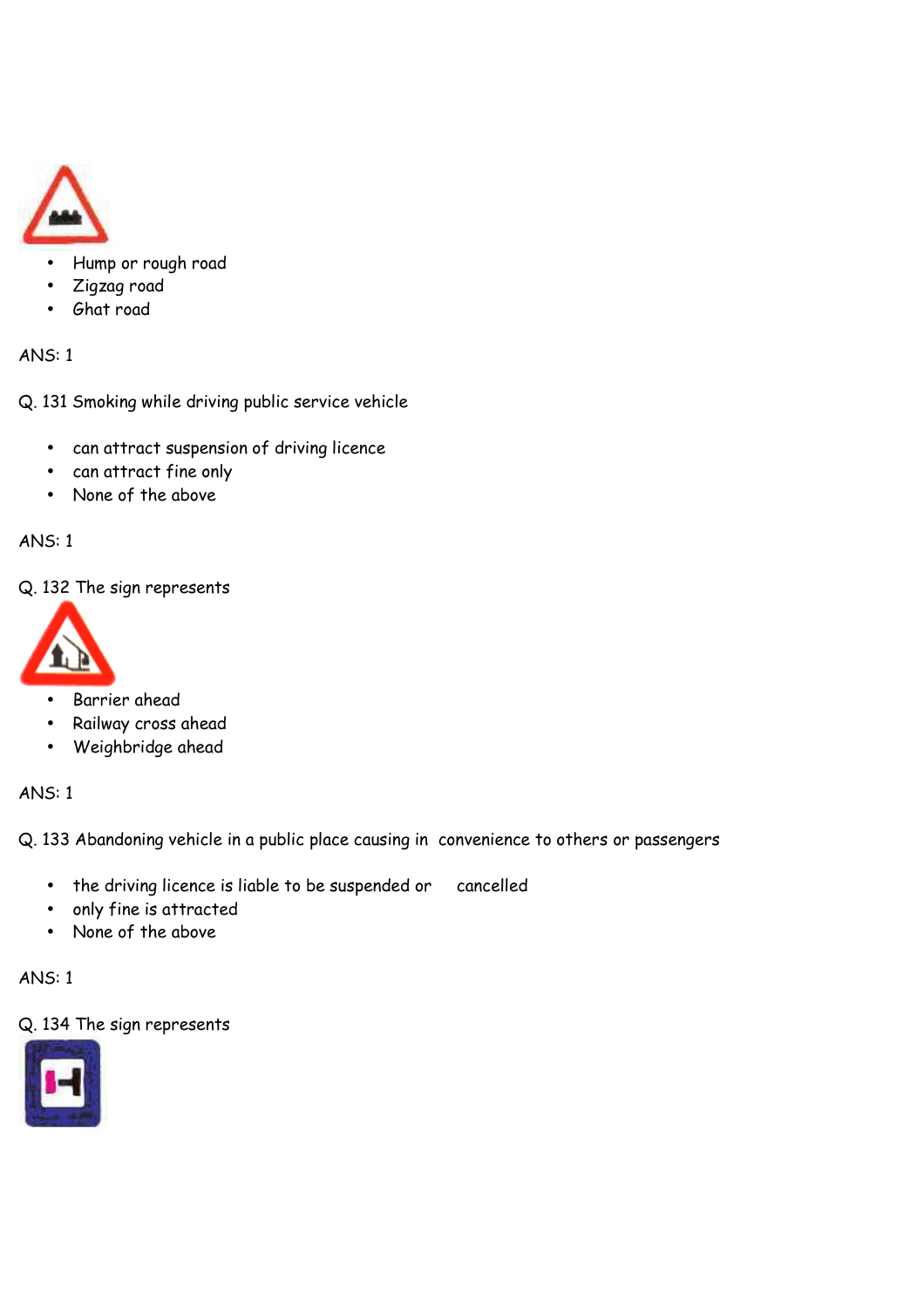

- Hump or rough road
- Zigzag road
- Ghat road

Q. 131 Smoking while driving public service vehicle

- can attract suspension of driving licence
- can attract fine only
- None of the above

ANS: 1

Q. 132 The sign represents



- Barrier ahead
- Railway cross ahead
- Weighbridge ahead

ANS: 1

Q. 133 Abandoning vehicle in a public place causing in convenience to others or passengers

- the driving licence is liable to be suspended or cancelled
- only fine is attracted
- None of the above

ANS: 1

Q. 134 The sign represents

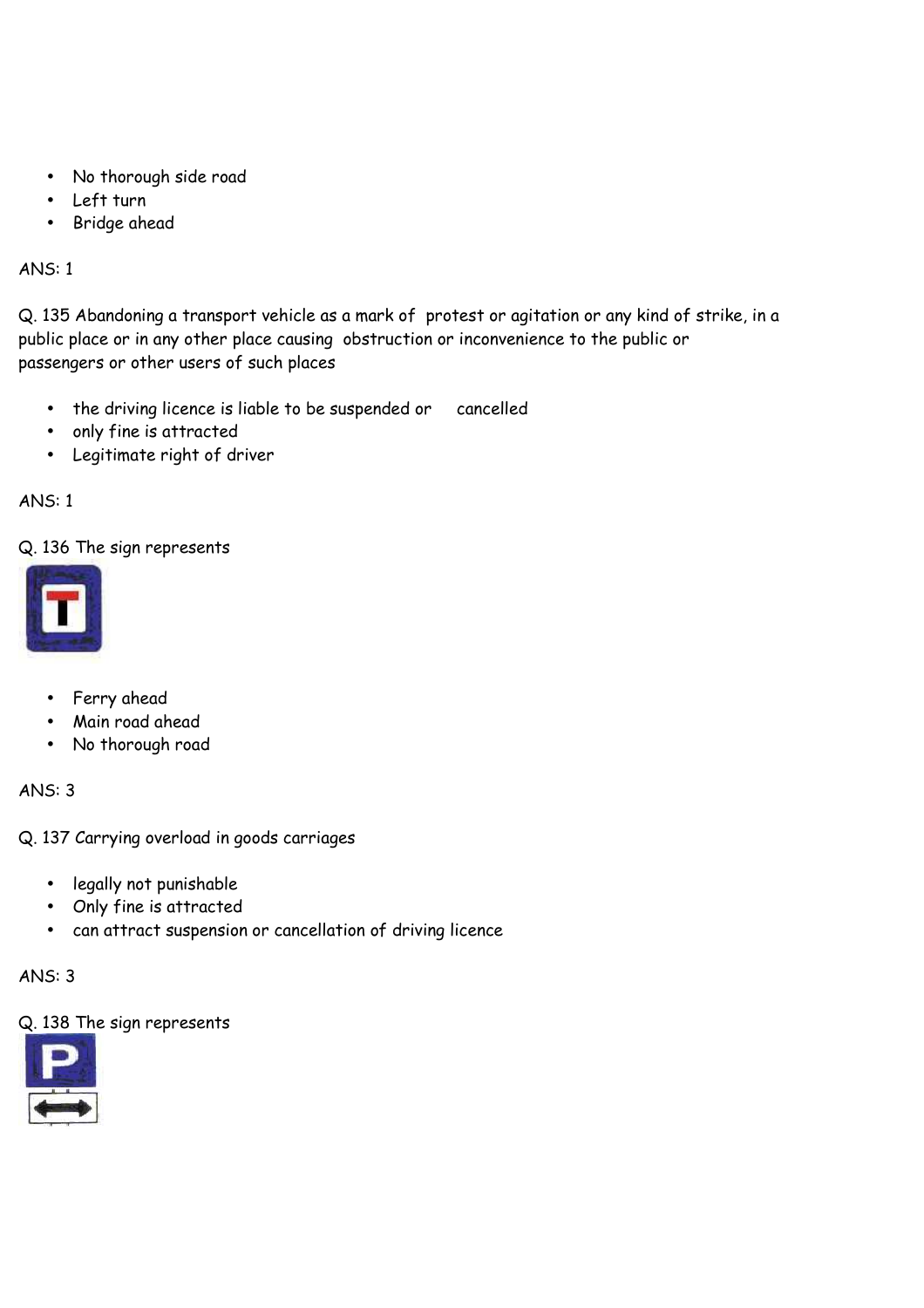- No thorough side road
- Left turn
- Bridge ahead

Q. 135 Abandoning a transport vehicle as a mark of protest or agitation or any kind of strike, in a public place or in any other place causing obstruction or inconvenience to the public or passengers or other users of such places

- the driving licence is liable to be suspended or cancelled
- only fine is attracted
- Legitimate right of driver

# ANS: 1

Q. 136 The sign represents



- Ferry ahead
- Main road ahead
- No thorough road

ANS: 3

Q. 137 Carrying overload in goods carriages

- legally not punishable
- Only fine is attracted
- can attract suspension or cancellation of driving licence

ANS: 3

#### Q. 138 The sign represents

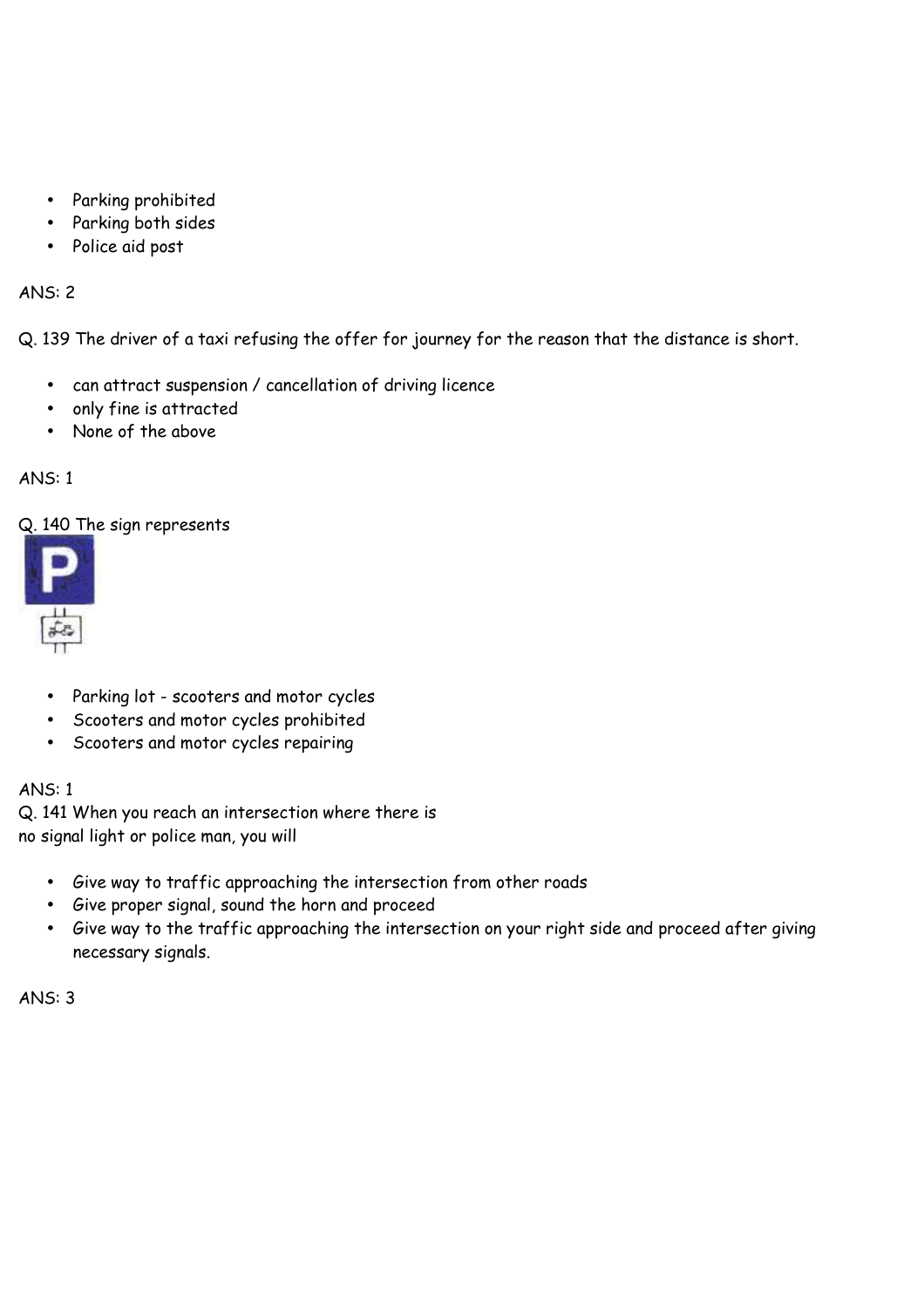- Parking prohibited
- Parking both sides
- Police aid post

Q. 139 The driver of a taxi refusing the offer for journey for the reason that the distance is short.

- can attract suspension / cancellation of driving licence
- only fine is attracted
- None of the above

# ANS: 1

# Q. 140 The sign represents



- Parking lot scooters and motor cycles
- Scooters and motor cycles prohibited
- Scooters and motor cycles repairing

# ANS: 1

Q. 141 When you reach an intersection where there is no signal light or police man, you will

- Give way to traffic approaching the intersection from other roads
- Give proper signal, sound the horn and proceed
- Give way to the traffic approaching the intersection on your right side and proceed after giving necessary signals.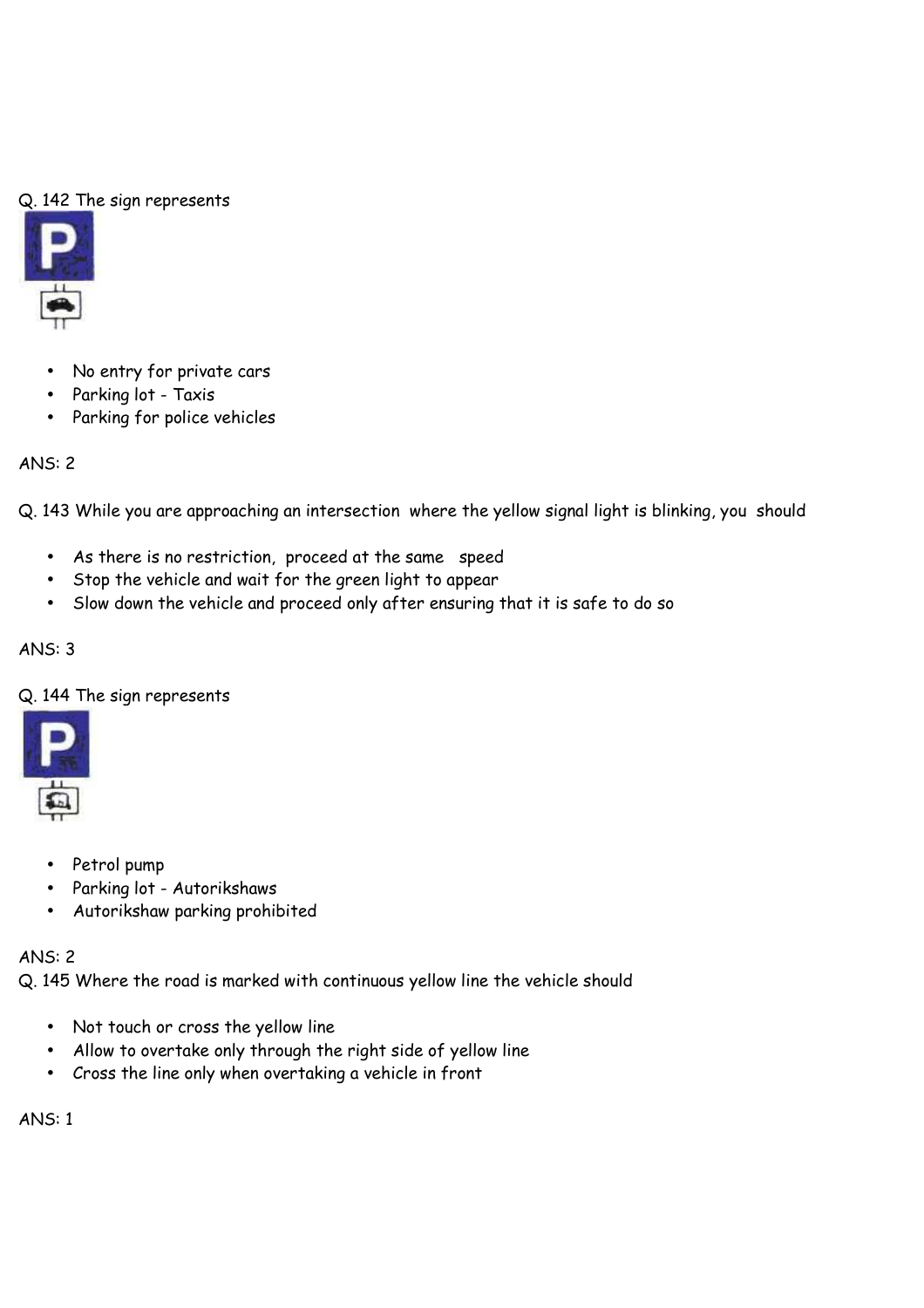# Q. 142 The sign represents



- No entry for private cars
- Parking lot Taxis
- Parking for police vehicles

# ANS: 2

Q. 143 While you are approaching an intersection where the yellow signal light is blinking, you should

- As there is no restriction, proceed at the same speed
- Stop the vehicle and wait for the green light to appear
- Slow down the vehicle and proceed only after ensuring that it is safe to do so

# ANS: 3

# Q. 144 The sign represents



- Petrol pump
- Parking lot Autorikshaws
- Autorikshaw parking prohibited

# ANS: 2

Q. 145 Where the road is marked with continuous yellow line the vehicle should

- Not touch or cross the yellow line
- Allow to overtake only through the right side of yellow line
- Cross the line only when overtaking a vehicle in front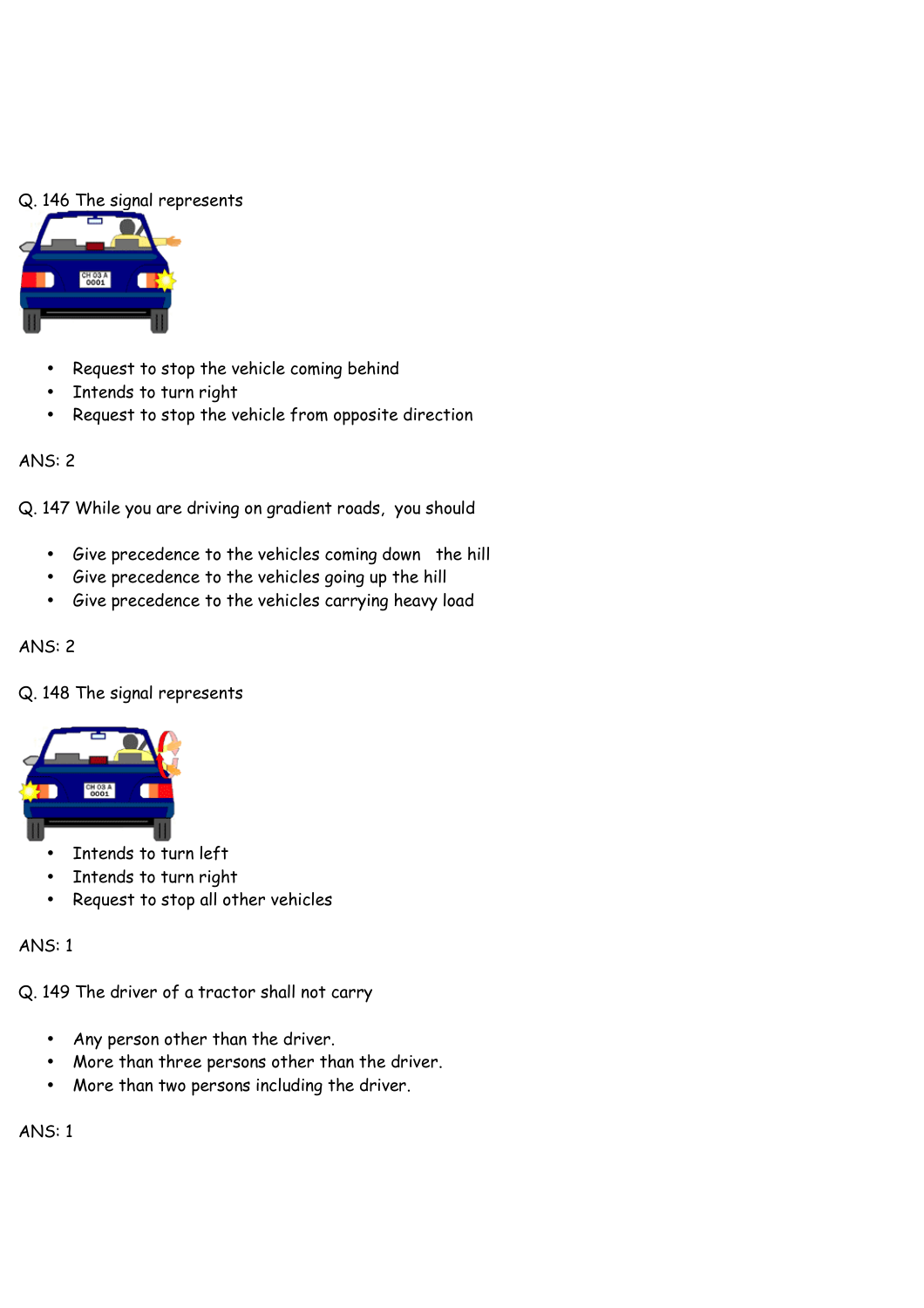#### Q. 146 The signal represents



- Request to stop the vehicle coming behind
- Intends to turn right
- Request to stop the vehicle from opposite direction

#### ANS: 2

Q. 147 While you are driving on gradient roads, you should

- Give precedence to the vehicles coming down the hill
- Give precedence to the vehicles going up the hill
- Give precedence to the vehicles carrying heavy load

#### ANS: 2

#### Q. 148 The signal represents



- Intends to turn left
- Intends to turn right
- Request to stop all other vehicles

#### ANS: 1

Q. 149 The driver of a tractor shall not carry

- Any person other than the driver.
- More than three persons other than the driver.
- More than two persons including the driver.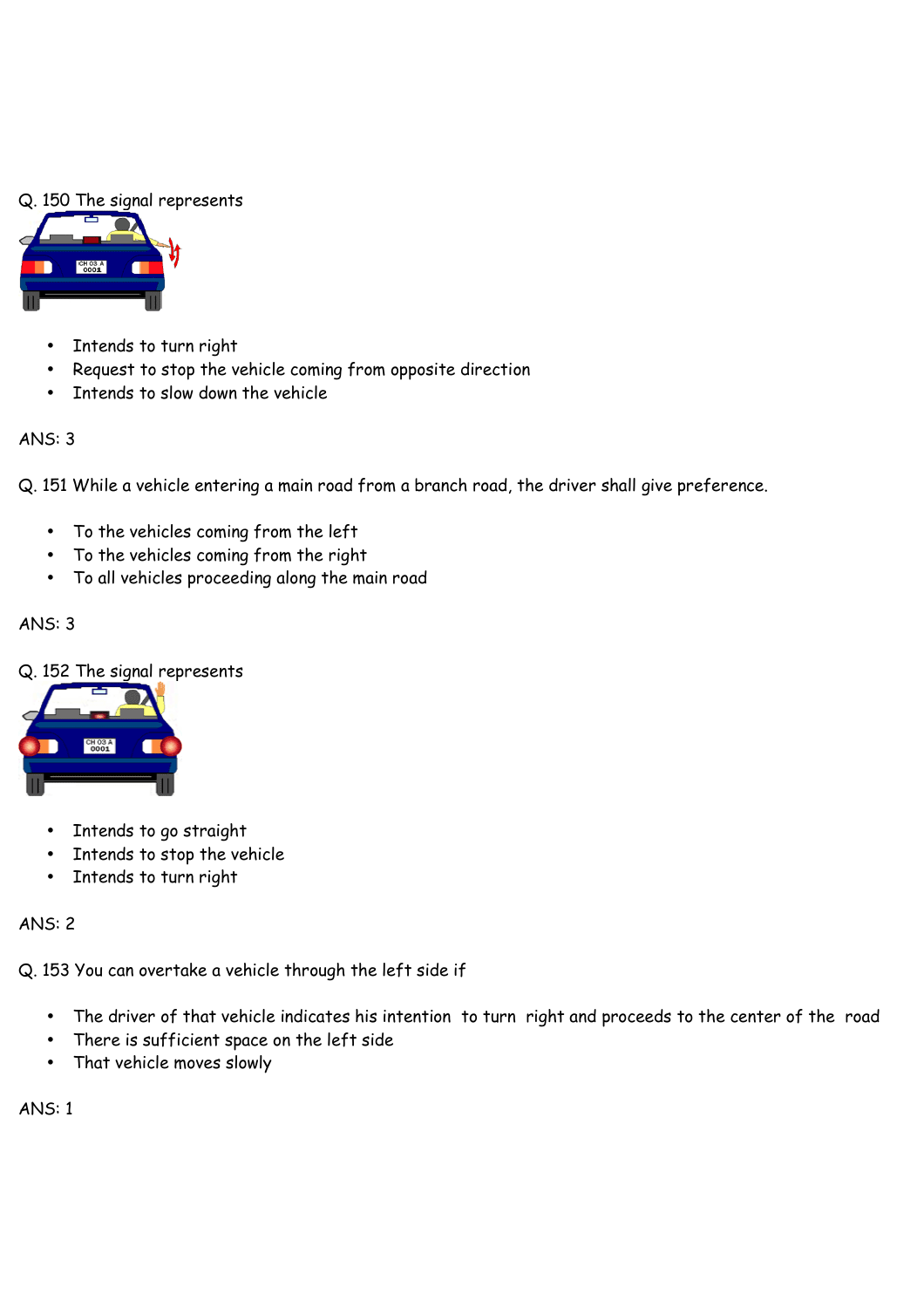# Q. 150 The signal represents



- Intends to turn right
- Request to stop the vehicle coming from opposite direction
- Intends to slow down the vehicle

# ANS: 3

Q. 151 While a vehicle entering a main road from a branch road, the driver shall give preference.

- To the vehicles coming from the left
- To the vehicles coming from the right
- To all vehicles proceeding along the main road

# ANS: 3

# Q. 152 The signal represents



- Intends to go straight
- Intends to stop the vehicle
- Intends to turn right

# ANS: 2

Q. 153 You can overtake a vehicle through the left side if

- The driver of that vehicle indicates his intention to turn right and proceeds to the center of the road
- There is sufficient space on the left side
- That vehicle moves slowly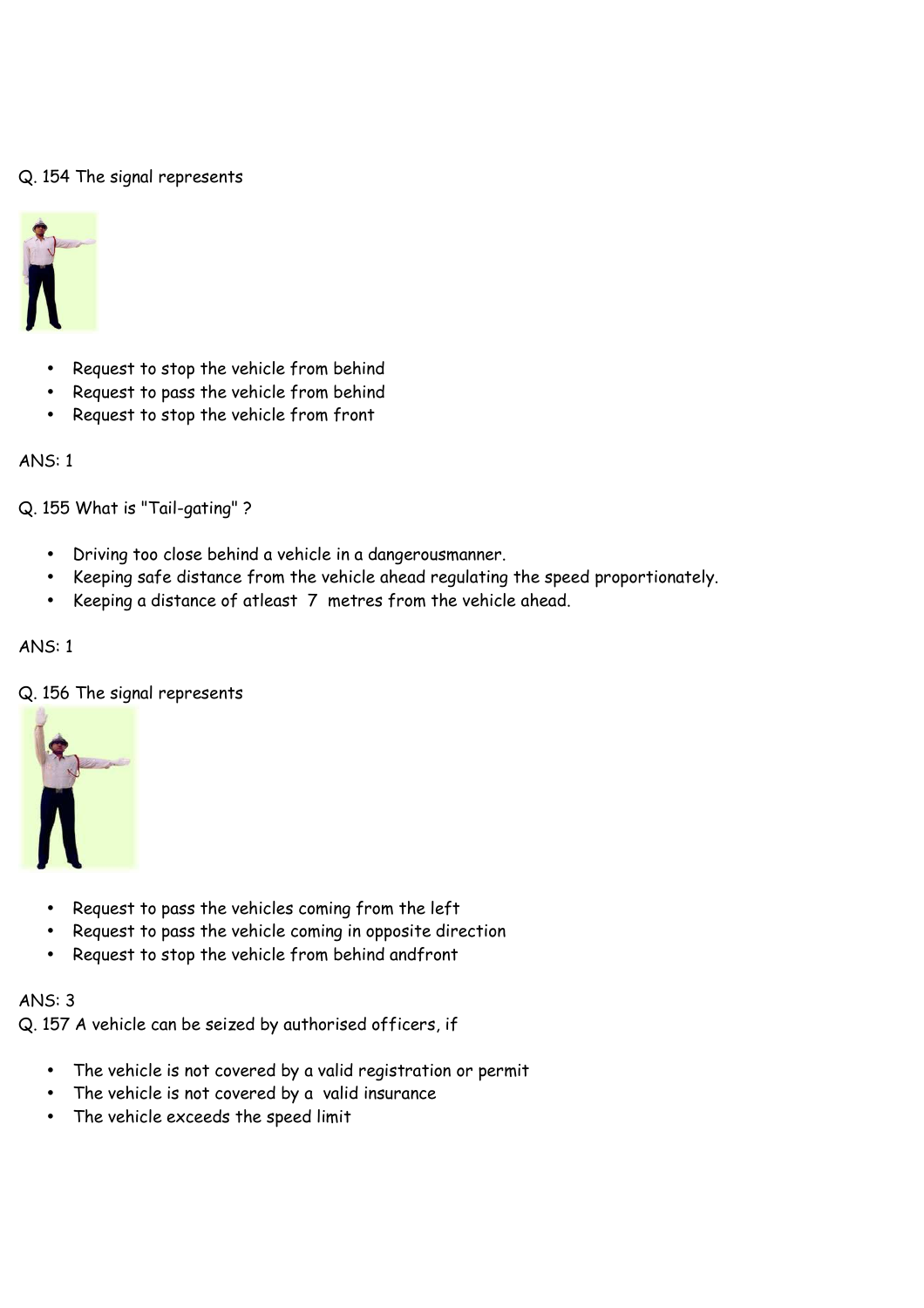### Q. 154 The signal represents



- Request to stop the vehicle from behind
- Request to pass the vehicle from behind
- Request to stop the vehicle from front

#### ANS: 1

Q. 155 What is "Tail-gating" ?

- Driving too close behind a vehicle in a dangerousmanner.
- Keeping safe distance from the vehicle ahead regulating the speed proportionately.
- Keeping a distance of atleast 7 metres from the vehicle ahead.

#### ANS: 1

#### Q. 156 The signal represents



- Request to pass the vehicles coming from the left
- Request to pass the vehicle coming in opposite direction
- Request to stop the vehicle from behind andfront

#### ANS: 3

Q. 157 A vehicle can be seized by authorised officers, if

- The vehicle is not covered by a valid registration or permit
- The vehicle is not covered by a valid insurance
- The vehicle exceeds the speed limit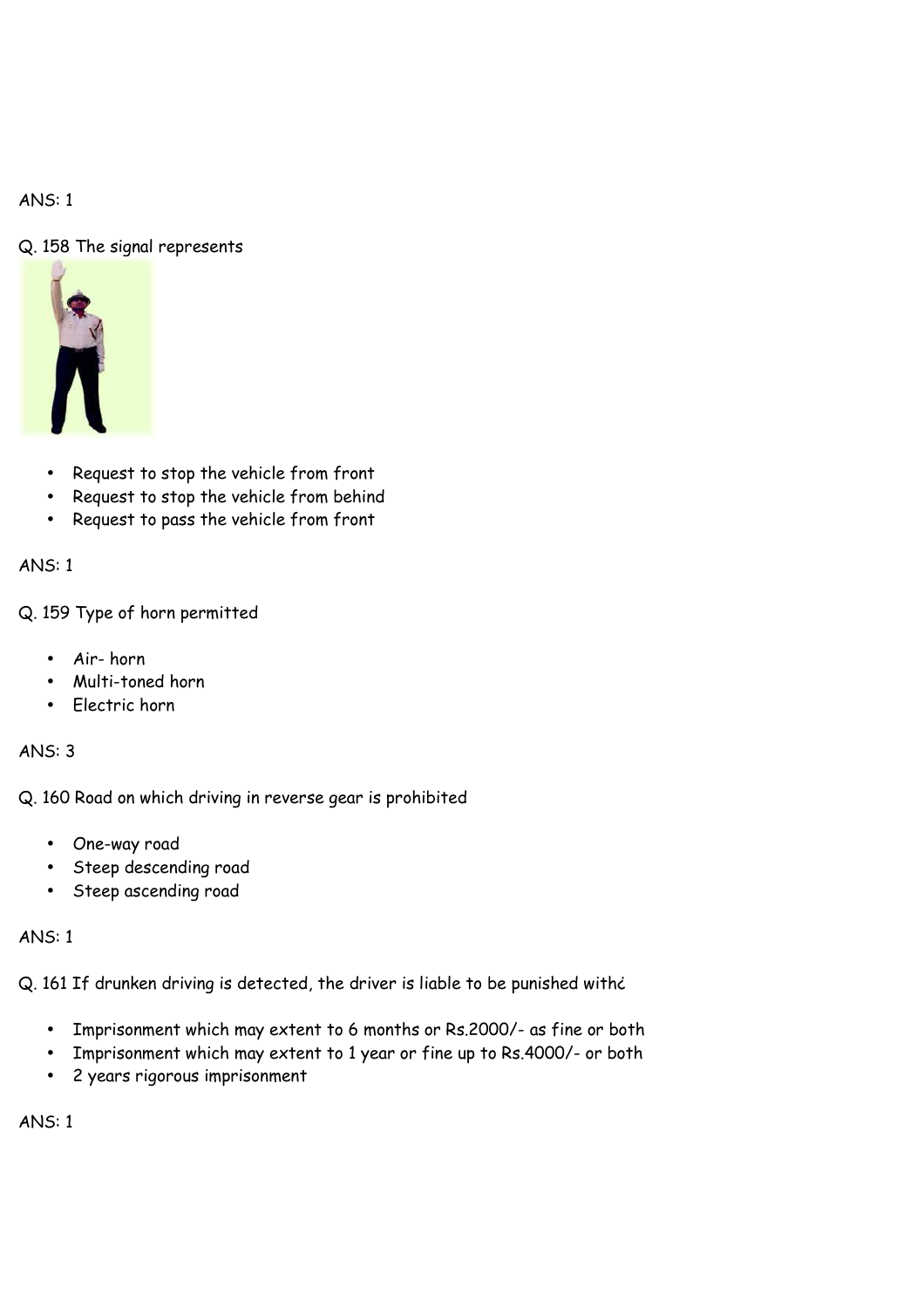# Q. 158 The signal represents



- Request to stop the vehicle from front
- Request to stop the vehicle from behind
- Request to pass the vehicle from front

# ANS: 1

Q. 159 Type of horn permitted

- Air- horn
- Multi-toned horn
- Electric horn

# ANS: 3

Q. 160 Road on which driving in reverse gear is prohibited

- One-way road
- Steep descending road
- Steep ascending road

# ANS: 1

Q. 161 If drunken driving is detected, the driver is liable to be punished withe

- Imprisonment which may extent to 6 months or Rs.2000/- as fine or both
- Imprisonment which may extent to 1 year or fine up to Rs.4000/- or both
- 2 years rigorous imprisonment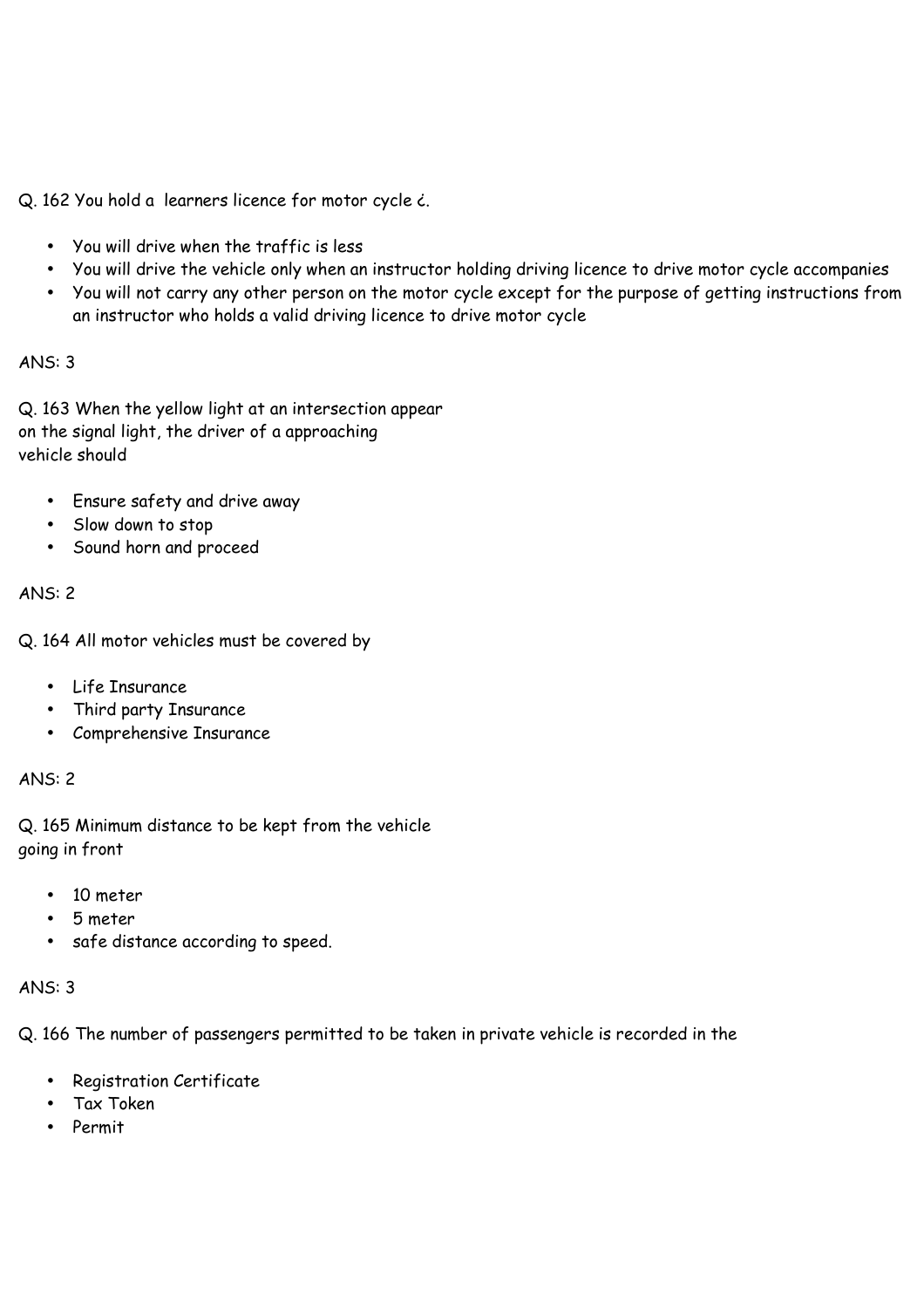Q. 162 You hold a learners licence for motor cycle ¿.

- You will drive when the traffic is less
- You will drive the vehicle only when an instructor holding driving licence to drive motor cycle accompanies
- You will not carry any other person on the motor cycle except for the purpose of getting instructions from an instructor who holds a valid driving licence to drive motor cycle

# ANS: 3

Q. 163 When the yellow light at an intersection appear on the signal light, the driver of a approaching vehicle should

- Ensure safety and drive away
- Slow down to stop
- Sound horn and proceed

# ANS: 2

Q. 164 All motor vehicles must be covered by

- Life Insurance
- Third party Insurance
- Comprehensive Insurance

### ANS: 2

Q. 165 Minimum distance to be kept from the vehicle going in front

- 10 meter
- 5 meter
- safe distance according to speed.

#### ANS: 3

Q. 166 The number of passengers permitted to be taken in private vehicle is recorded in the

- Registration Certificate
- Tax Token
- Permit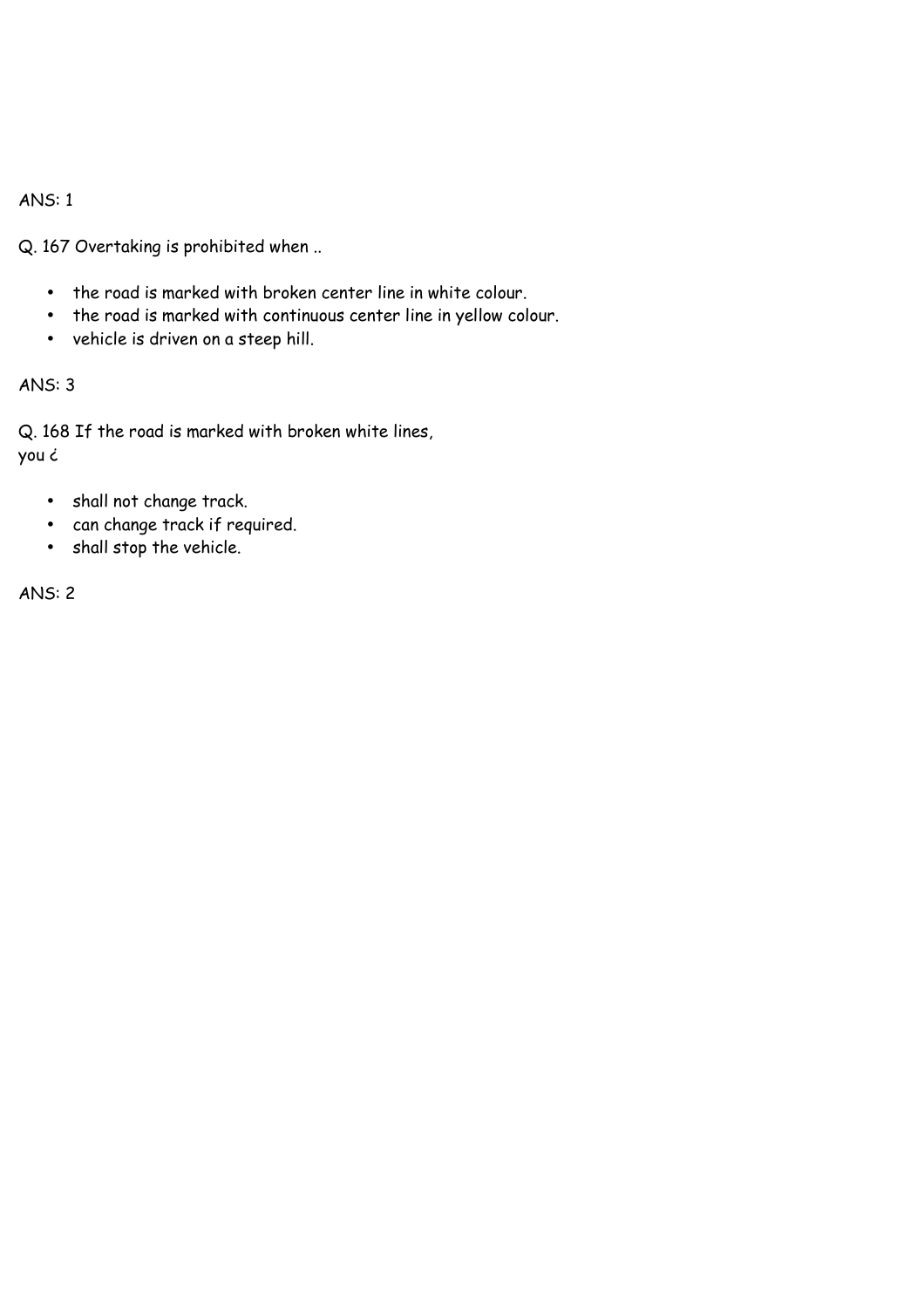Q. 167 Overtaking is prohibited when ..

- the road is marked with broken center line in white colour.
- the road is marked with continuous center line in yellow colour.
- vehicle is driven on a steep hill.

# ANS: 3

Q. 168 If the road is marked with broken white lines, you ¿

- shall not change track.
- can change track if required.
- shall stop the vehicle.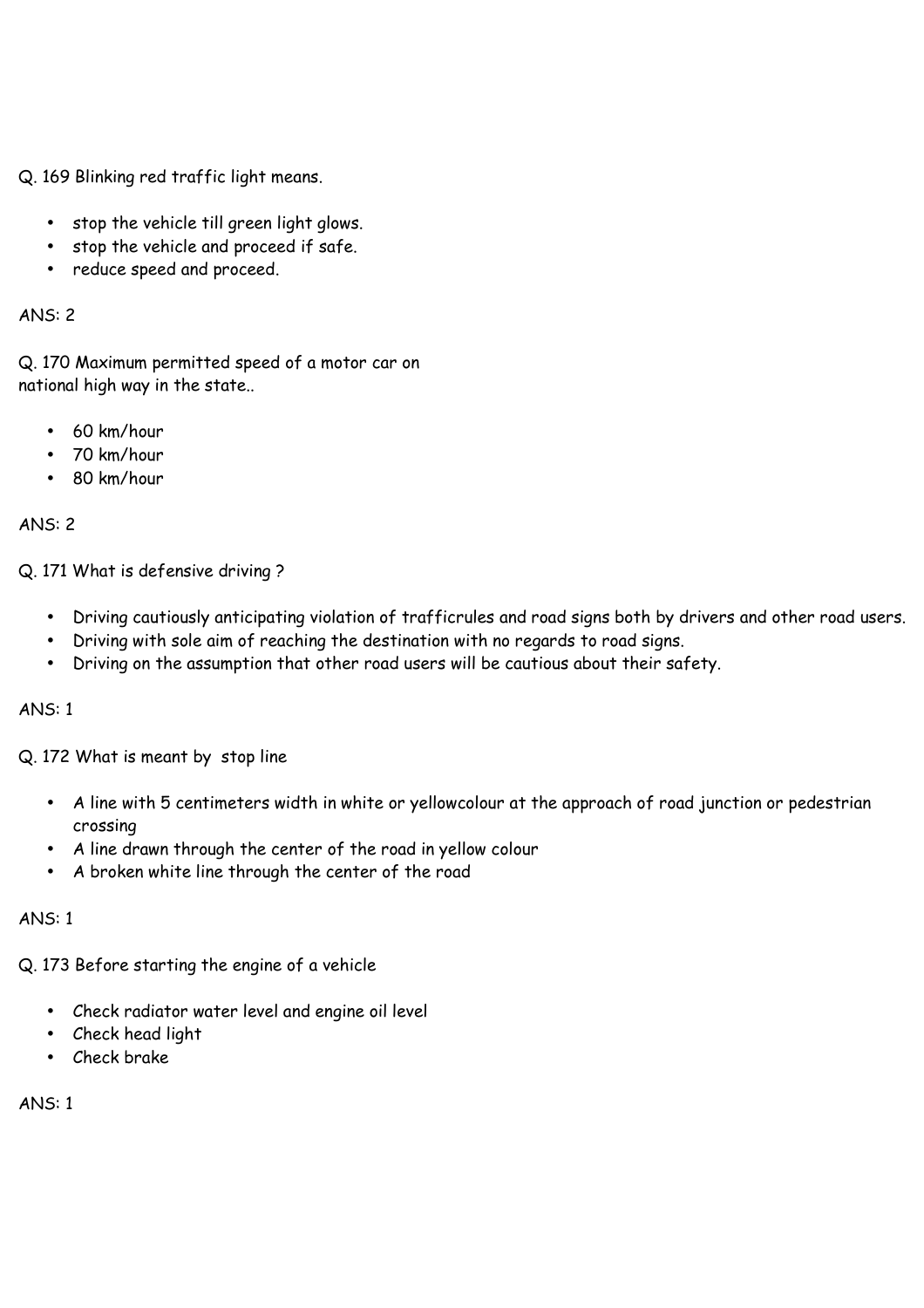Q. 169 Blinking red traffic light means.

- stop the vehicle till green light glows.
- stop the vehicle and proceed if safe.
- reduce speed and proceed.

ANS: 2

Q. 170 Maximum permitted speed of a motor car on national high way in the state..

- 60 km/hour
- 70 km/hour
- 80 km/hour

#### ANS: 2

Q. 171 What is defensive driving ?

- Driving cautiously anticipating violation of trafficrules and road signs both by drivers and other road users.
- Driving with sole aim of reaching the destination with no regards to road signs.
- Driving on the assumption that other road users will be cautious about their safety.

# ANS: 1

Q. 172 What is meant by stop line

- A line with 5 centimeters width in white or yellowcolour at the approach of road junction or pedestrian crossing
- A line drawn through the center of the road in yellow colour
- A broken white line through the center of the road

# ANS: 1

Q. 173 Before starting the engine of a vehicle

- Check radiator water level and engine oil level
- Check head light
- Check brake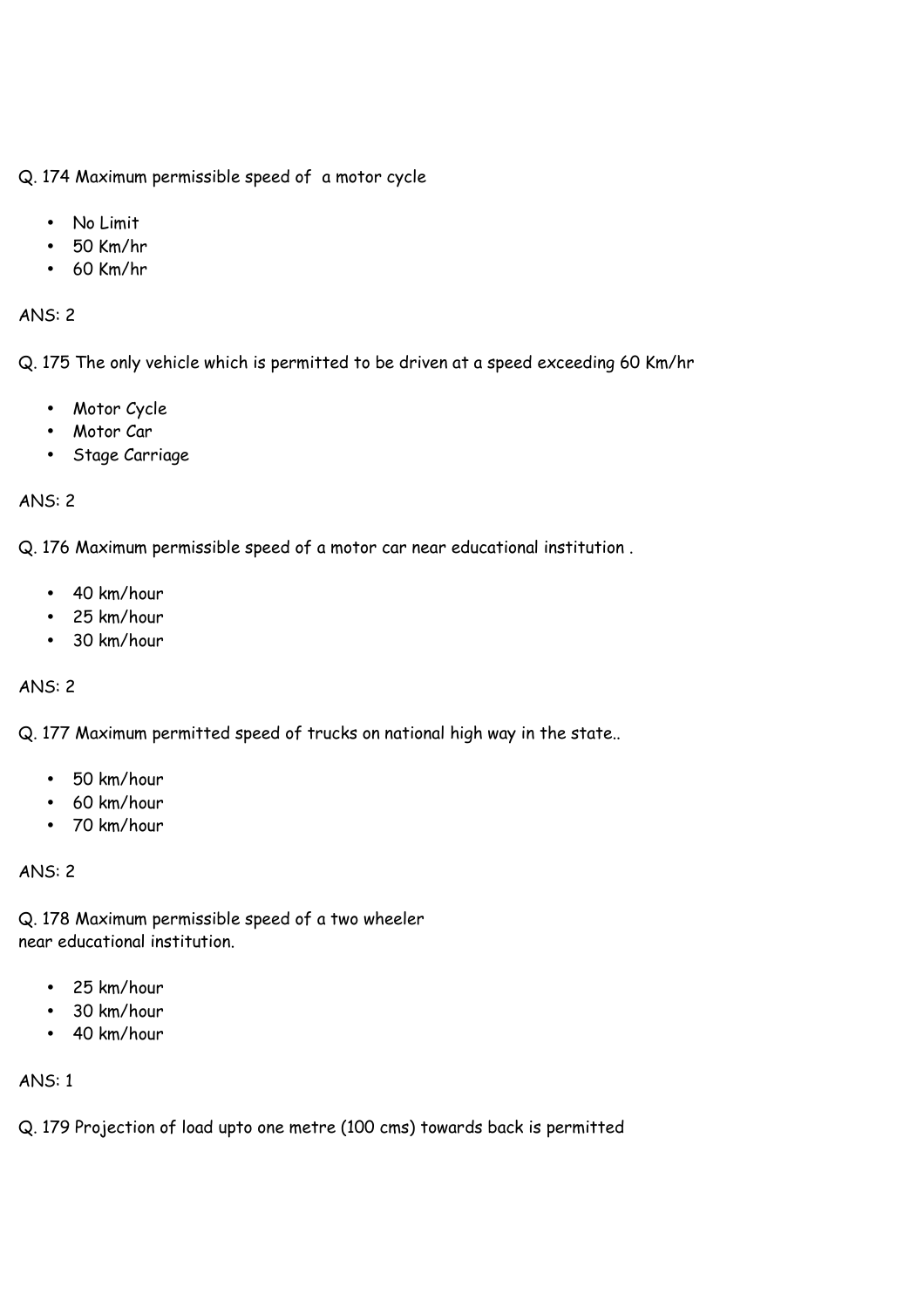Q. 174 Maximum permissible speed of a motor cycle

- No Limit
- 50 Km/hr
- 60 Km/hr

#### ANS: 2

Q. 175 The only vehicle which is permitted to be driven at a speed exceeding 60 Km/hr

- Motor Cycle
- Motor Car
- Stage Carriage

### ANS: 2

Q. 176 Maximum permissible speed of a motor car near educational institution .

- 40 km/hour
- 25 km/hour
- 30 km/hour

ANS: 2

Q. 177 Maximum permitted speed of trucks on national high way in the state..

- 50 km/hour
- 60 km/hour
- 70 km/hour

ANS: 2

Q. 178 Maximum permissible speed of a two wheeler near educational institution.

- 25 km/hour
- 30 km/hour
- 40 km/hour

ANS: 1

Q. 179 Projection of load upto one metre (100 cms) towards back is permitted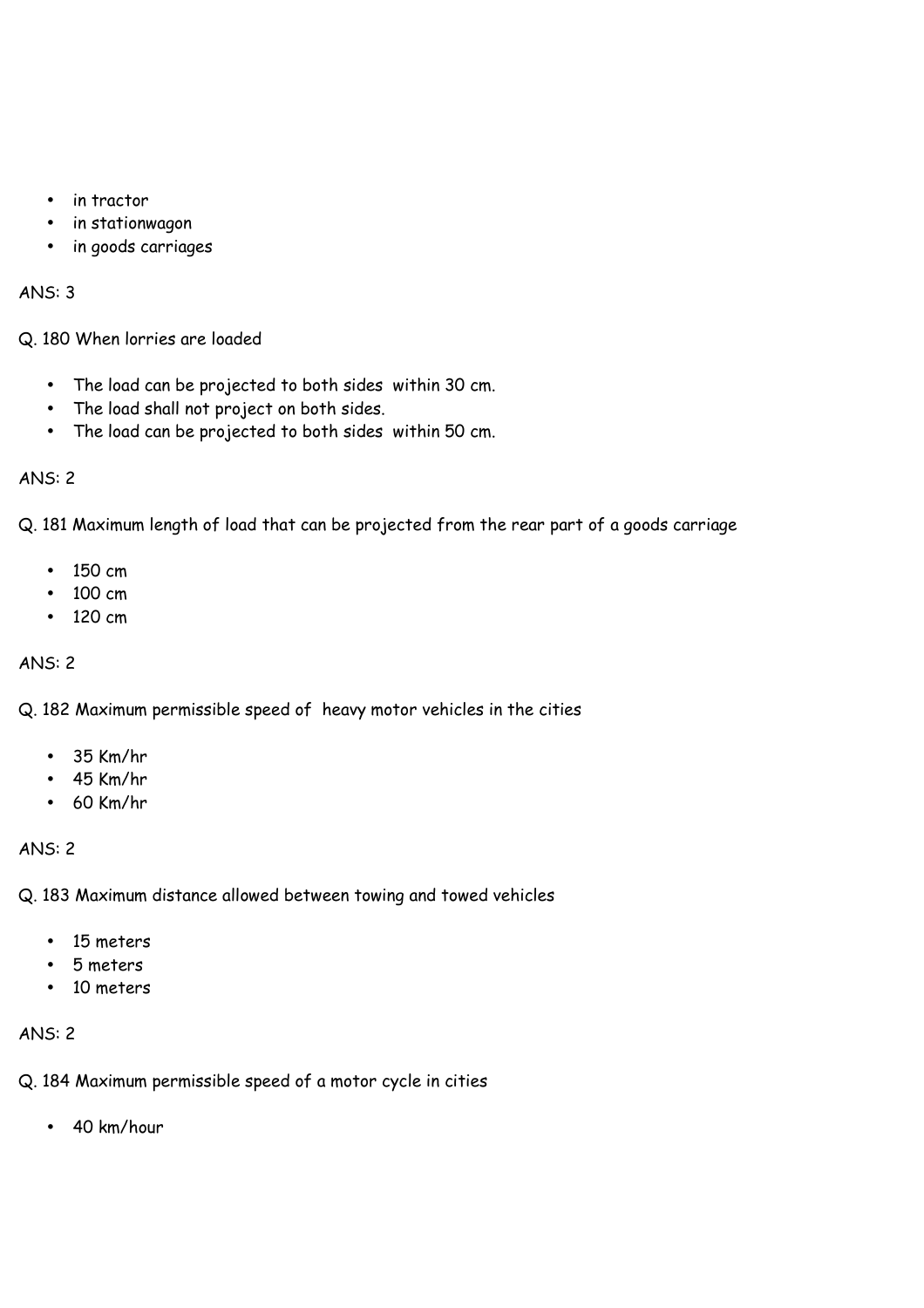- in tractor
- in stationwagon
- in goods carriages

Q. 180 When lorries are loaded

- The load can be projected to both sides within 30 cm.
- The load shall not project on both sides.
- The load can be projected to both sides within 50 cm.

# ANS: 2

Q. 181 Maximum length of load that can be projected from the rear part of a goods carriage

- 150 cm
- 100 cm
- 120 cm

# ANS: 2

Q. 182 Maximum permissible speed of heavy motor vehicles in the cities

- 35 Km/hr
- 45 Km/hr
- 60 Km/hr

# ANS: 2

Q. 183 Maximum distance allowed between towing and towed vehicles

- 15 meters
- 5 meters
- 10 meters

# ANS: 2

Q. 184 Maximum permissible speed of a motor cycle in cities

• 40 km/hour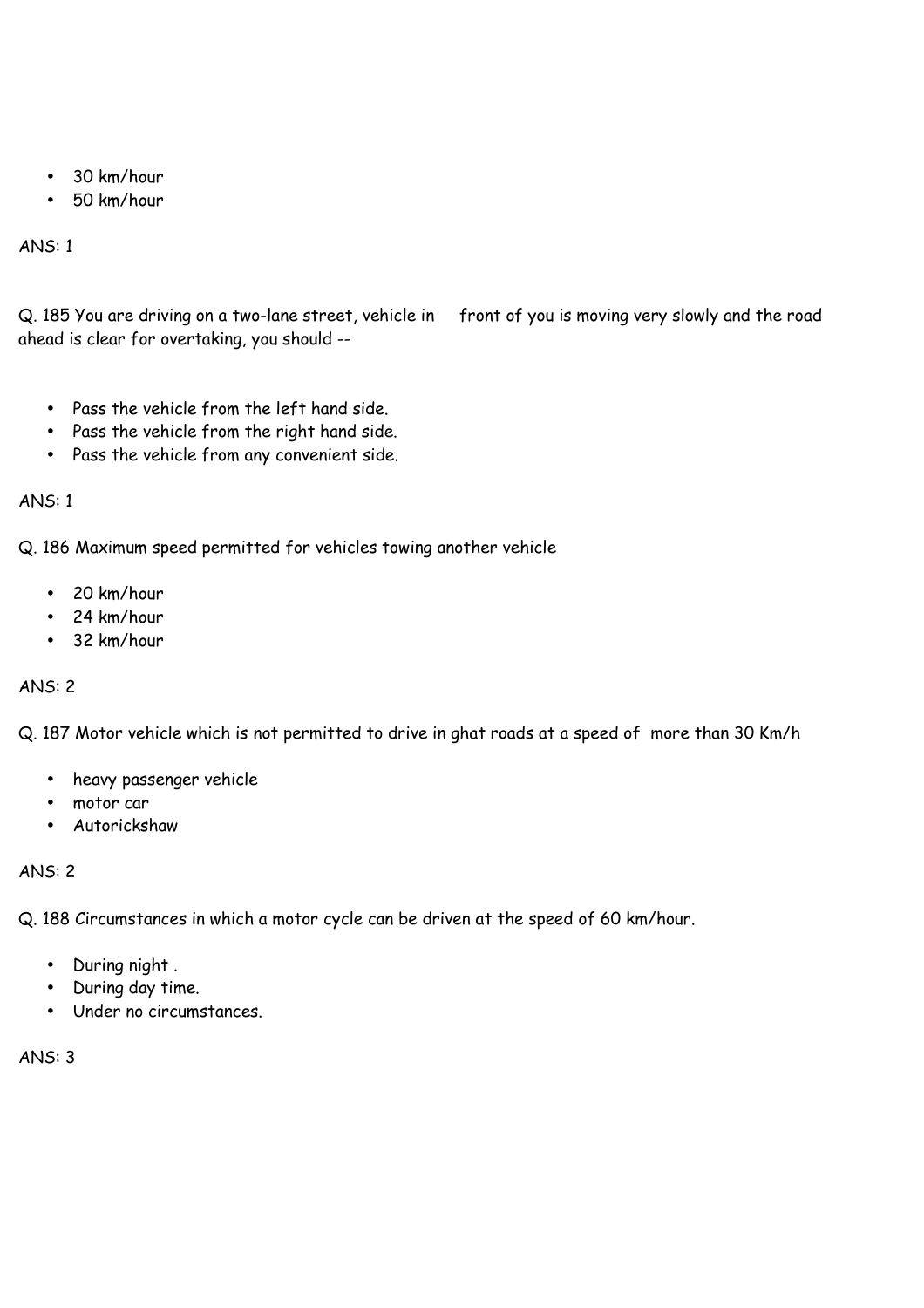- 30 km/hour
- 50 km/hour

Q. 185 You are driving on a two-lane street, vehicle in front of you is moving very slowly and the road ahead is clear for overtaking, you should --

- Pass the vehicle from the left hand side.
- Pass the vehicle from the right hand side.
- Pass the vehicle from any convenient side.

# ANS: 1

Q. 186 Maximum speed permitted for vehicles towing another vehicle

- 20 km/hour
- 24 km/hour
- 32 km/hour

# ANS: 2

Q. 187 Motor vehicle which is not permitted to drive in ghat roads at a speed of more than 30 Km/h

- heavy passenger vehicle
- motor car
- Autorickshaw

ANS: 2

Q. 188 Circumstances in which a motor cycle can be driven at the speed of 60 km/hour.

- During night .
- During day time.
- Under no circumstances.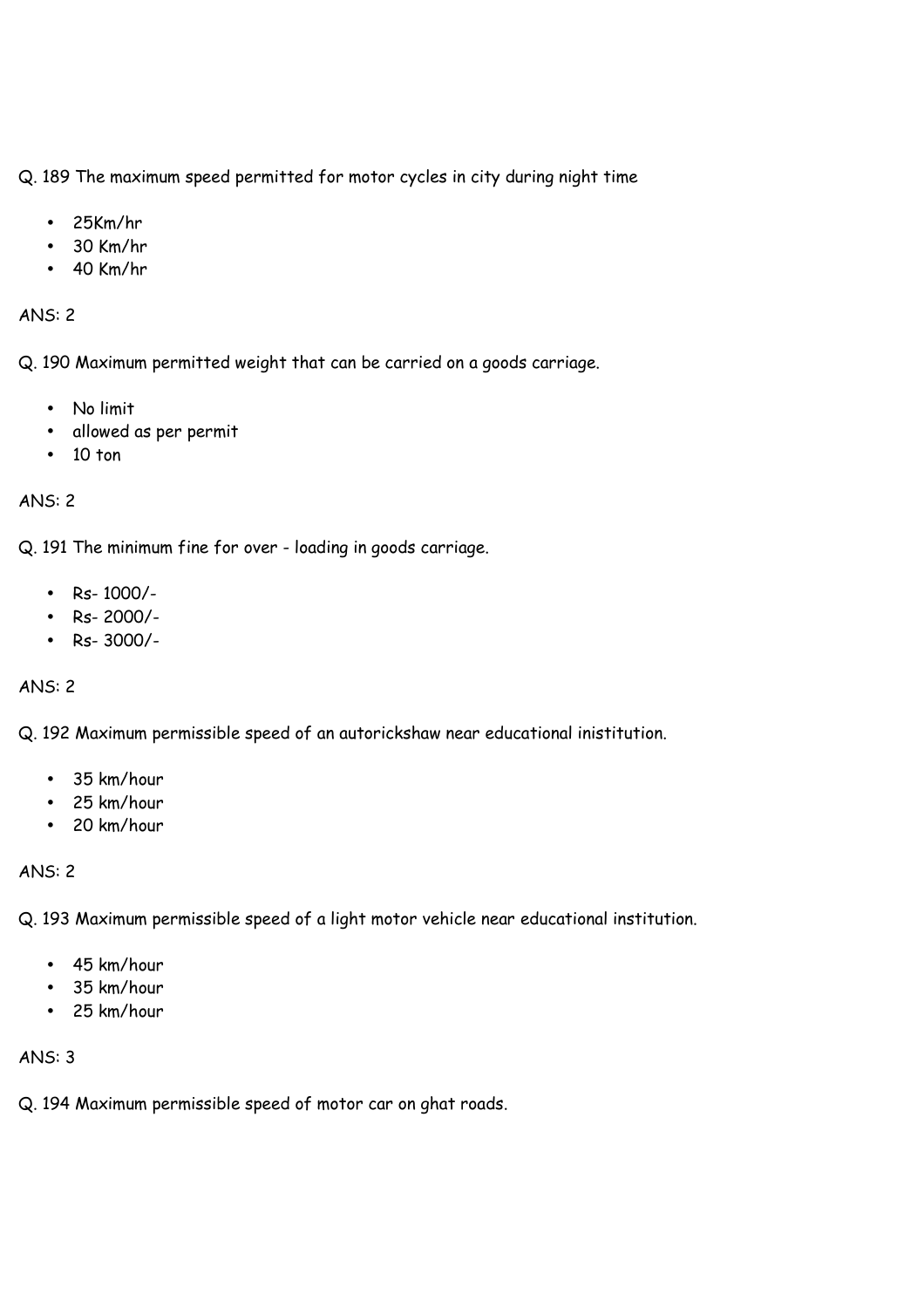Q. 189 The maximum speed permitted for motor cycles in city during night time

- 25Km/hr
- 30 Km/hr
- 40 Km/hr

### ANS: 2

Q. 190 Maximum permitted weight that can be carried on a goods carriage.

- No limit
- allowed as per permit
- 10 ton

# ANS: 2

Q. 191 The minimum fine for over - loading in goods carriage.

- Rs- 1000/-
- Rs- 2000/-
- Rs- 3000/-

# ANS: 2

Q. 192 Maximum permissible speed of an autorickshaw near educational inistitution.

- 35 km/hour
- 25 km/hour
- 20 km/hour

# ANS: 2

Q. 193 Maximum permissible speed of a light motor vehicle near educational institution.

- 45 km/hour
- 35 km/hour
- 25 km/hour

# ANS: 3

Q. 194 Maximum permissible speed of motor car on ghat roads.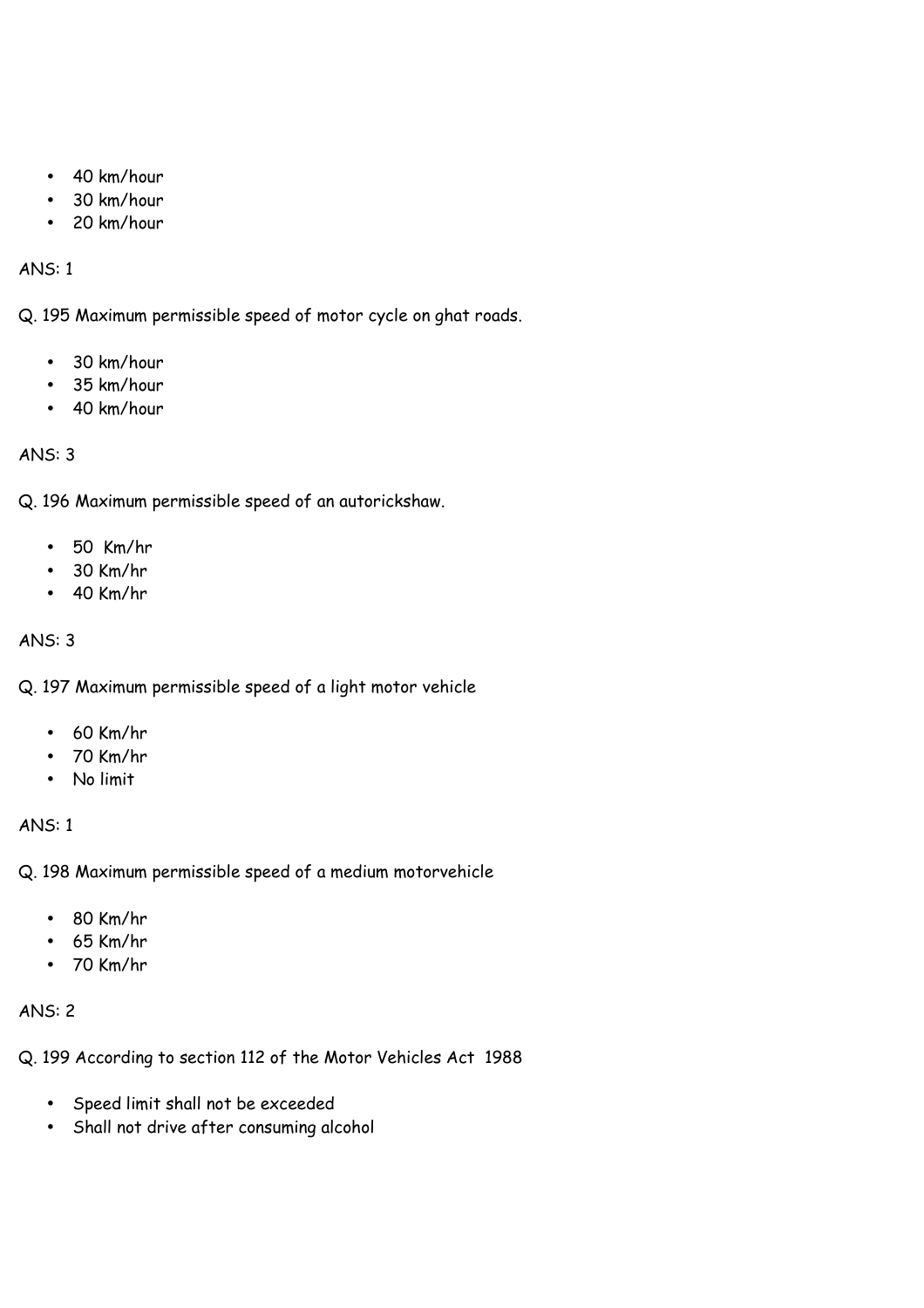- 40 km/hour
- 30 km/hour
- 20 km/hour

Q. 195 Maximum permissible speed of motor cycle on ghat roads.

- 30 km/hour
- 35 km/hour
- 40 km/hour

# ANS: 3

Q. 196 Maximum permissible speed of an autorickshaw.

- 50 Km/hr
- 30 Km/hr
- 40 Km/hr

# ANS: 3

Q. 197 Maximum permissible speed of a light motor vehicle

- 60 Km/hr
- 70 Km/hr
- No limit

# ANS: 1

Q. 198 Maximum permissible speed of a medium motorvehicle

- 80 Km/hr
- 65 Km/hr
- 70 Km/hr

# ANS: 2

Q. 199 According to section 112 of the Motor Vehicles Act 1988

- Speed limit shall not be exceeded
- Shall not drive after consuming alcohol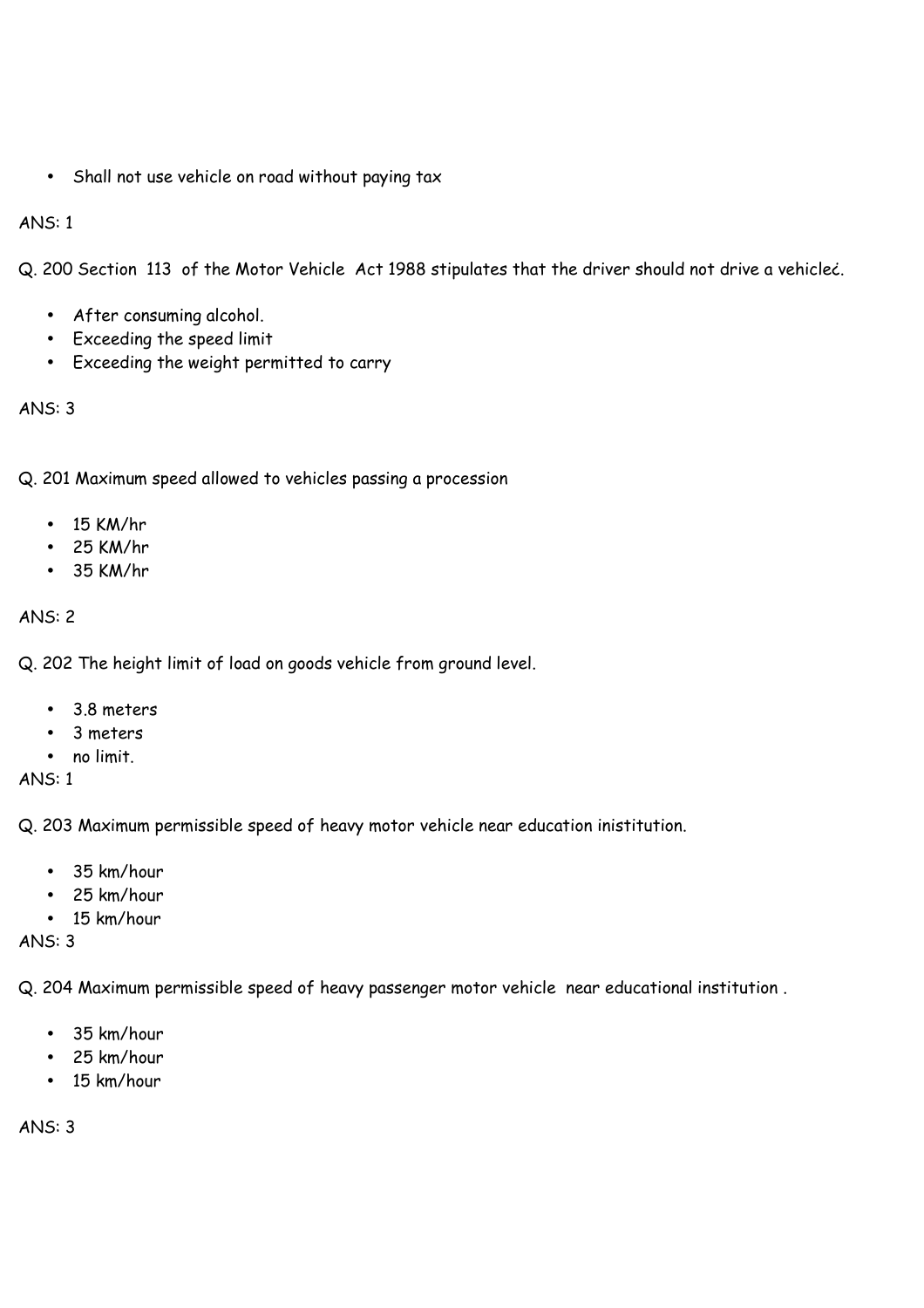• Shall not use vehicle on road without paying tax

# ANS: 1

Q. 200 Section 113 of the Motor Vehicle Act 1988 stipulates that the driver should not drive a vehicle¿.

- After consuming alcohol.
- Exceeding the speed limit
- Exceeding the weight permitted to carry

# ANS: 3

Q. 201 Maximum speed allowed to vehicles passing a procession

- $\bullet$  15 KM/hr
- 25 KM/hr
- 35 KM/hr

# ANS: 2

Q. 202 The height limit of load on goods vehicle from ground level.

- 3.8 meters
- 3 meters
- no limit.

ANS: 1

Q. 203 Maximum permissible speed of heavy motor vehicle near education inistitution.

- 35 km/hour
- 25 km/hour
- 15 km/hour

ANS: 3

Q. 204 Maximum permissible speed of heavy passenger motor vehicle near educational institution .

- 35 km/hour
- 25 km/hour
- 15 km/hour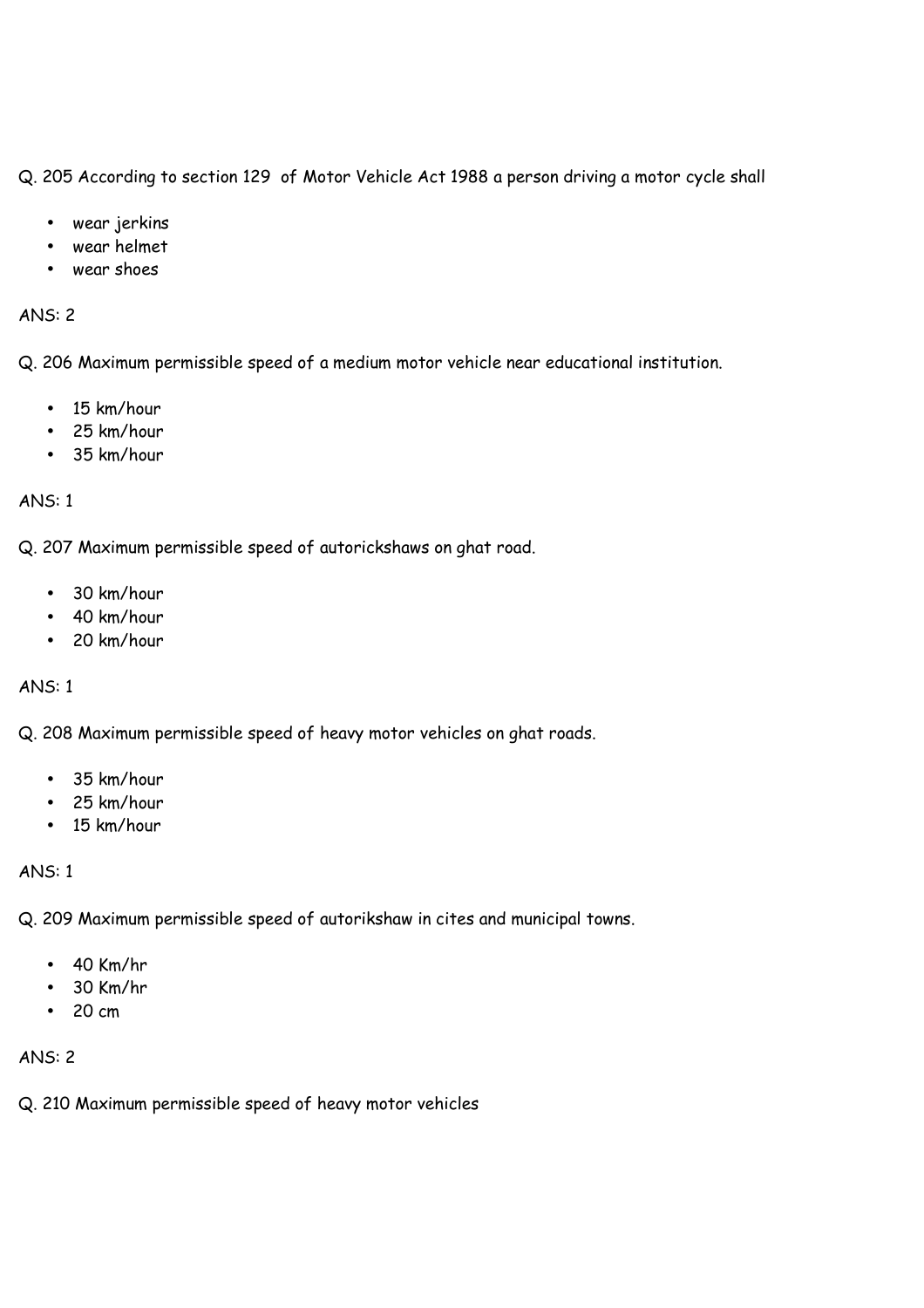Q. 205 According to section 129 of Motor Vehicle Act 1988 a person driving a motor cycle shall

- wear jerkins
- wear helmet
- wear shoes

#### ANS: 2

Q. 206 Maximum permissible speed of a medium motor vehicle near educational institution.

- 15 km/hour
- 25 km/hour
- 35 km/hour

### ANS: 1

Q. 207 Maximum permissible speed of autorickshaws on ghat road.

- 30 km/hour
- 40 km/hour
- 20 km/hour

ANS: 1

Q. 208 Maximum permissible speed of heavy motor vehicles on ghat roads.

- 35 km/hour
- 25 km/hour
- 15 km/hour

ANS: 1

Q. 209 Maximum permissible speed of autorikshaw in cites and municipal towns.

- 40 Km/hr
- 30 Km/hr
- 20 cm

# ANS: 2

Q. 210 Maximum permissible speed of heavy motor vehicles